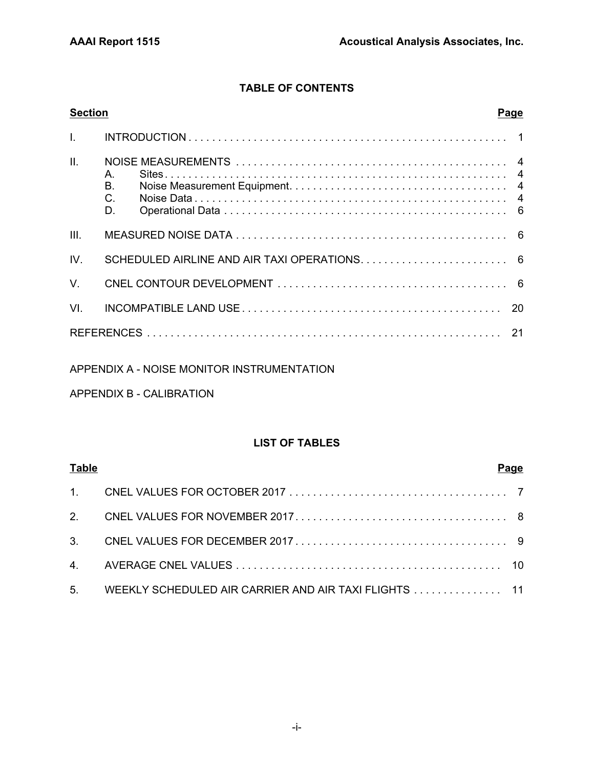## **TABLE OF CONTENTS**

| <b>Section</b> | Page                                      |
|----------------|-------------------------------------------|
| $\mathbf{L}$   |                                           |
| II.            | $A_{1}$<br><b>B.</b><br>$C_{\cdot}$<br>D. |
| III.           |                                           |
| IV.            |                                           |
| $V_{\perp}$    |                                           |
| VL             |                                           |
|                |                                           |

## APPENDIX A - NOISE MONITOR INSTRUMENTATION

## APPENDIX B - CALIBRATION

## **LIST OF TABLES**

| <b>Table</b> |                                                          | Page |
|--------------|----------------------------------------------------------|------|
|              |                                                          |      |
|              |                                                          |      |
|              |                                                          |      |
|              |                                                          |      |
|              | 5. WEEKLY SCHEDULED AIR CARRIER AND AIR TAXI FLIGHTS  11 |      |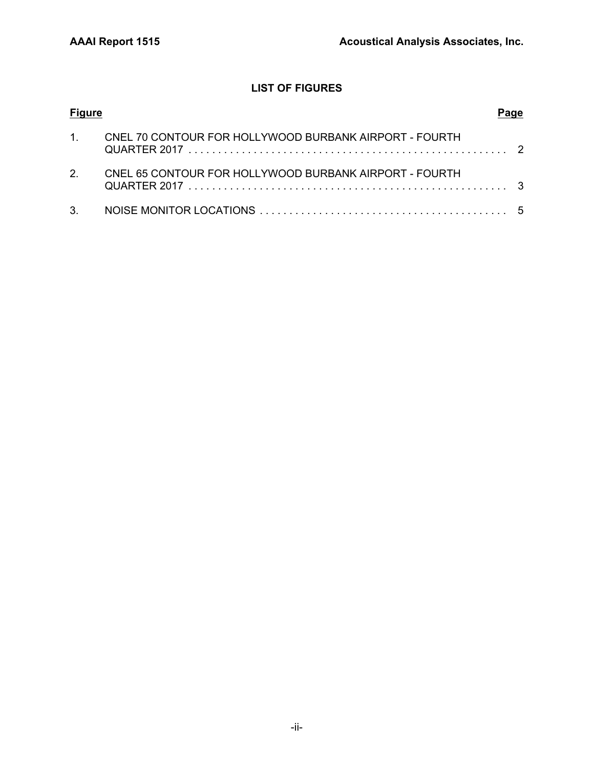## **LIST OF FIGURES**

| <b>Figure</b>  |                                                        |  |
|----------------|--------------------------------------------------------|--|
| $\mathbf 1$    | CNEL 70 CONTOUR FOR HOLLYWOOD BURBANK AIRPORT - FOURTH |  |
| 2 <sub>1</sub> | CNEL 65 CONTOUR FOR HOLLYWOOD BURBANK AIRPORT - FOURTH |  |
| 3.             |                                                        |  |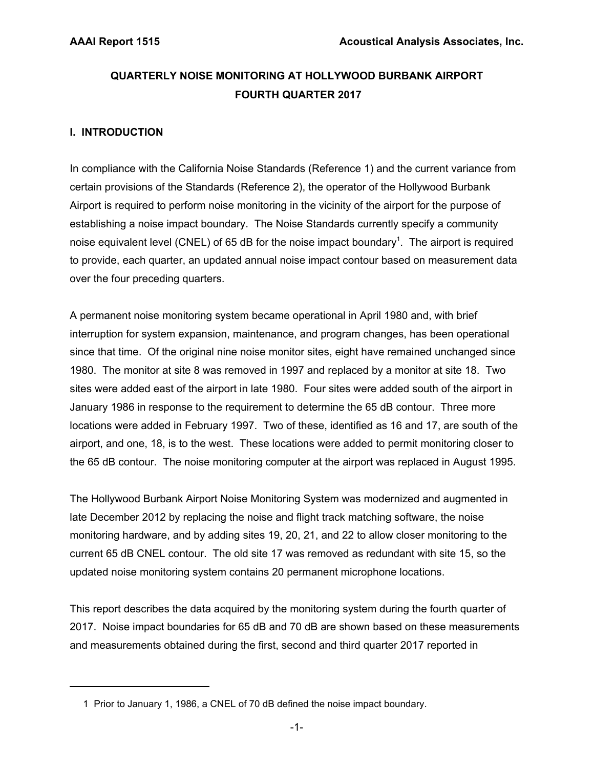## **QUARTERLY NOISE MONITORING AT HOLLYWOOD BURBANK AIRPORT FOURTH QUARTER 2017**

## **I. INTRODUCTION**

In compliance with the California Noise Standards (Reference 1) and the current variance from certain provisions of the Standards (Reference 2), the operator of the Hollywood Burbank Airport is required to perform noise monitoring in the vicinity of the airport for the purpose of establishing a noise impact boundary. The Noise Standards currently specify a community noise equivalent level (CNEL) of 65 dB for the noise impact boundary<sup>1</sup>. The airport is required to provide, each quarter, an updated annual noise impact contour based on measurement data over the four preceding quarters.

A permanent noise monitoring system became operational in April 1980 and, with brief interruption for system expansion, maintenance, and program changes, has been operational since that time. Of the original nine noise monitor sites, eight have remained unchanged since 1980. The monitor at site 8 was removed in 1997 and replaced by a monitor at site 18. Two sites were added east of the airport in late 1980. Four sites were added south of the airport in January 1986 in response to the requirement to determine the 65 dB contour. Three more locations were added in February 1997. Two of these, identified as 16 and 17, are south of the airport, and one, 18, is to the west. These locations were added to permit monitoring closer to the 65 dB contour. The noise monitoring computer at the airport was replaced in August 1995.

The Hollywood Burbank Airport Noise Monitoring System was modernized and augmented in late December 2012 by replacing the noise and flight track matching software, the noise monitoring hardware, and by adding sites 19, 20, 21, and 22 to allow closer monitoring to the current 65 dB CNEL contour. The old site 17 was removed as redundant with site 15, so the updated noise monitoring system contains 20 permanent microphone locations.

This report describes the data acquired by the monitoring system during the fourth quarter of 2017. Noise impact boundaries for 65 dB and 70 dB are shown based on these measurements and measurements obtained during the first, second and third quarter 2017 reported in

 <sup>1</sup> Prior to January 1, 1986, a CNEL of 70 dB defined the noise impact boundary.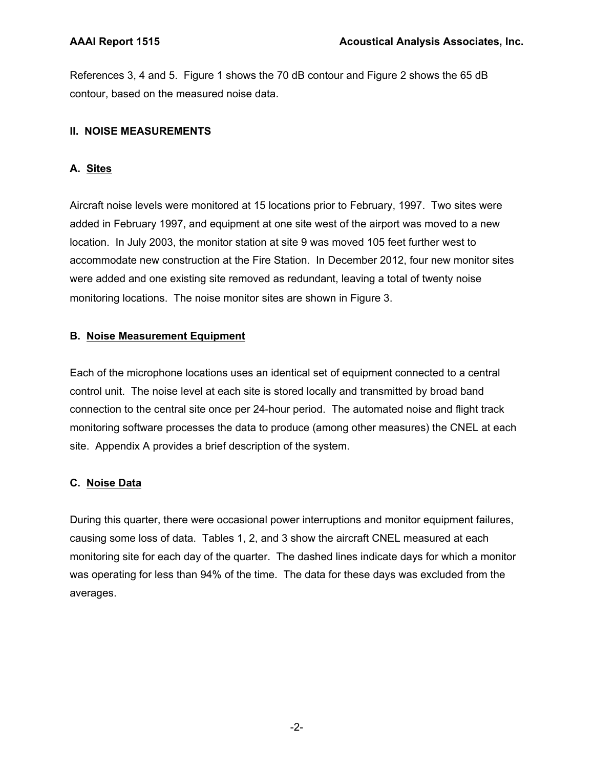References 3, 4 and 5. Figure 1 shows the 70 dB contour and Figure 2 shows the 65 dB contour, based on the measured noise data.

## **II. NOISE MEASUREMENTS**

## **A. Sites**

Aircraft noise levels were monitored at 15 locations prior to February, 1997. Two sites were added in February 1997, and equipment at one site west of the airport was moved to a new location. In July 2003, the monitor station at site 9 was moved 105 feet further west to accommodate new construction at the Fire Station. In December 2012, four new monitor sites were added and one existing site removed as redundant, leaving a total of twenty noise monitoring locations. The noise monitor sites are shown in Figure 3.

## **B. Noise Measurement Equipment**

Each of the microphone locations uses an identical set of equipment connected to a central control unit. The noise level at each site is stored locally and transmitted by broad band connection to the central site once per 24-hour period. The automated noise and flight track monitoring software processes the data to produce (among other measures) the CNEL at each site. Appendix A provides a brief description of the system.

## **C. Noise Data**

During this quarter, there were occasional power interruptions and monitor equipment failures, causing some loss of data. Tables 1, 2, and 3 show the aircraft CNEL measured at each monitoring site for each day of the quarter. The dashed lines indicate days for which a monitor was operating for less than 94% of the time. The data for these days was excluded from the averages.

-2-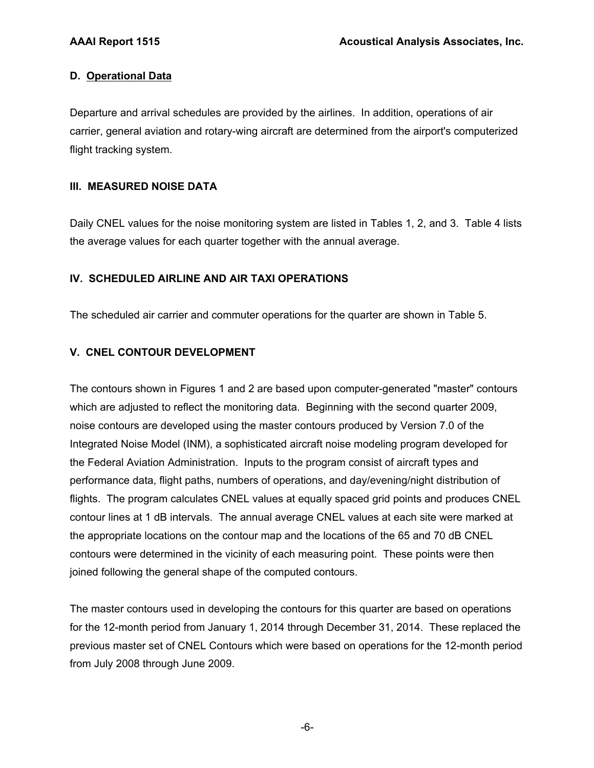## **D. Operational Data**

Departure and arrival schedules are provided by the airlines. In addition, operations of air carrier, general aviation and rotary-wing aircraft are determined from the airport's computerized flight tracking system.

## **III. MEASURED NOISE DATA**

Daily CNEL values for the noise monitoring system are listed in Tables 1, 2, and 3. Table 4 lists the average values for each quarter together with the annual average.

## **IV. SCHEDULED AIRLINE AND AIR TAXI OPERATIONS**

The scheduled air carrier and commuter operations for the quarter are shown in Table 5.

## **V. CNEL CONTOUR DEVELOPMENT**

The contours shown in Figures 1 and 2 are based upon computer-generated "master" contours which are adjusted to reflect the monitoring data. Beginning with the second quarter 2009, noise contours are developed using the master contours produced by Version 7.0 of the Integrated Noise Model (INM), a sophisticated aircraft noise modeling program developed for the Federal Aviation Administration. Inputs to the program consist of aircraft types and performance data, flight paths, numbers of operations, and day/evening/night distribution of flights. The program calculates CNEL values at equally spaced grid points and produces CNEL contour lines at 1 dB intervals. The annual average CNEL values at each site were marked at the appropriate locations on the contour map and the locations of the 65 and 70 dB CNEL contours were determined in the vicinity of each measuring point. These points were then joined following the general shape of the computed contours.

The master contours used in developing the contours for this quarter are based on operations for the 12-month period from January 1, 2014 through December 31, 2014. These replaced the previous master set of CNEL Contours which were based on operations for the 12-month period from July 2008 through June 2009.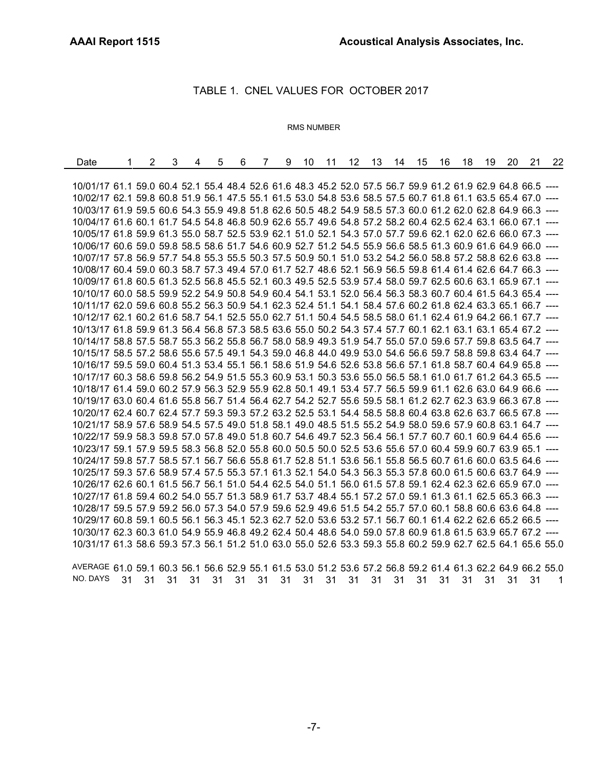÷,

### TABLE 1. CNEL VALUES FOR OCTOBER 2017

#### RMS NUMBER

| Date                                                                                                         | 1 | 2 | 3 | 4 | 5 | 6 | $\overline{7}$ | 9 | 10 | 11 |  | 12 13 14 15 | 16 | 18 | 19 | 20 | 21 | 22 |
|--------------------------------------------------------------------------------------------------------------|---|---|---|---|---|---|----------------|---|----|----|--|-------------|----|----|----|----|----|----|
|                                                                                                              |   |   |   |   |   |   |                |   |    |    |  |             |    |    |    |    |    |    |
| 10/01/17 61.1 59.0 60.4 52.1 55.4 48.4 52.6 61.6 48.3 45.2 52.0 57.5 56.7 59.9 61.2 61.9 62.9 64.8 66.5      |   |   |   |   |   |   |                |   |    |    |  |             |    |    |    |    |    |    |
| 10/02/17 62.1 59.8 60.8 51.9 56.1 47.5 55.1 61.5 53.0 54.8 53.6 58.5 57.5 60.7 61.8 61.1 63.5 65.4 67.0 ---- |   |   |   |   |   |   |                |   |    |    |  |             |    |    |    |    |    |    |
| 10/03/17 61.9 59.5 60.6 54.3 55.9 49.8 51.8 62.6 50.5 48.2 54.9 58.5 57.3 60.0 61.2 62.0 62.8 64.9 66.3 ---- |   |   |   |   |   |   |                |   |    |    |  |             |    |    |    |    |    |    |
| 10/04/17 61.6 60.1 61.7 54.5 54.8 46.8 50.9 62.6 55.7 49.6 54.8 57.2 58.2 60.4 62.5 62.4 63.1 66.0 67.1      |   |   |   |   |   |   |                |   |    |    |  |             |    |    |    |    |    |    |
| 10/05/17 61.8 59.9 61.3 55.0 58.7 52.5 53.9 62.1 51.0 52.1 54.3 57.0 57.7 59.6 62.1 62.0 62.6 66.0 67.3 ---- |   |   |   |   |   |   |                |   |    |    |  |             |    |    |    |    |    |    |
| 10/06/17 60.6 59.0 59.8 58.5 58.6 51.7 54.6 60.9 52.7 51.2 54.5 55.9 56.6 58.5 61.3 60.9 61.6 64.9 66.0 ---- |   |   |   |   |   |   |                |   |    |    |  |             |    |    |    |    |    |    |
| 10/07/17 57.8 56.9 57.7 54.8 55.3 55.5 50.3 57.5 50.9 50.1 51.0 53.2 54.2 56.0 58.8 57.2 58.8 62.6 63.8 ---- |   |   |   |   |   |   |                |   |    |    |  |             |    |    |    |    |    |    |
| 10/08/17 60.4 59.0 60.3 58.7 57.3 49.4 57.0 61.7 52.7 48.6 52.1 56.9 56.5 59.8 61.4 61.4 62.6 64.7 66.3 ---- |   |   |   |   |   |   |                |   |    |    |  |             |    |    |    |    |    |    |
| 10/09/17 61.8 60.5 61.3 52.5 56.8 45.5 52.1 60.3 49.5 52.5 53.9 57.4 58.0 59.7 62.5 60.6 63.1 65.9 67.1 ---- |   |   |   |   |   |   |                |   |    |    |  |             |    |    |    |    |    |    |
| 10/10/17 60.0 58.5 59.9 52.2 54.9 50.8 54.9 60.4 54.1 53.1 52.0 56.4 56.3 58.3 60.7 60.4 61.5 64.3 65.4 ---- |   |   |   |   |   |   |                |   |    |    |  |             |    |    |    |    |    |    |
| 10/11/17 62.0 59.6 60.8 55.2 56.3 50.9 54.1 62.3 52.4 51.1 54.1 58.4 57.6 60.2 61.8 62.4 63.3 65.1 66.7 ---- |   |   |   |   |   |   |                |   |    |    |  |             |    |    |    |    |    |    |
| 10/12/17 62.1 60.2 61.6 58.7 54.1 52.5 55.0 62.7 51.1 50.4 54.5 58.5 58.0 61.1 62.4 61.9 64.2 66.1 67.7 ---- |   |   |   |   |   |   |                |   |    |    |  |             |    |    |    |    |    |    |
| 10/13/17 61.8 59.9 61.3 56.4 56.8 57.3 58.5 63.6 55.0 50.2 54.3 57.4 57.7 60.1 62.1 63.1 63.1 65.4 67.2 ---- |   |   |   |   |   |   |                |   |    |    |  |             |    |    |    |    |    |    |
| 10/14/17 58.8 57.5 58.7 55.3 56.2 55.8 56.7 58.0 58.9 49.3 51.9 54.7 55.0 57.0 59.6 57.7 59.8 63.5 64.7 ---- |   |   |   |   |   |   |                |   |    |    |  |             |    |    |    |    |    |    |
| 10/15/17 58.5 57.2 58.6 55.6 57.5 49.1 54.3 59.0 46.8 44.0 49.9 53.0 54.6 56.6 59.7 58.8 59.8 63.4 64.7 ---- |   |   |   |   |   |   |                |   |    |    |  |             |    |    |    |    |    |    |
| 10/16/17 59.5 59.0 60.4 51.3 53.4 55.1 56.1 58.6 51.9 54.6 52.6 53.8 56.6 57.1 61.8 58.7 60.4 64.9 65.8 ---- |   |   |   |   |   |   |                |   |    |    |  |             |    |    |    |    |    |    |
| 10/17/17 60.3 58.6 59.8 56.2 54.9 51.5 55.3 60.9 53.1 50.3 53.6 55.0 56.5 58.1 61.0 61.7 61.2 64.3 65.5 ---- |   |   |   |   |   |   |                |   |    |    |  |             |    |    |    |    |    |    |
| 10/18/17 61.4 59.0 60.2 57.9 56.3 52.9 55.9 62.8 50.1 49.1 53.4 57.7 56.5 59.9 61.1 62.6 63.0 64.9 66.6 ---- |   |   |   |   |   |   |                |   |    |    |  |             |    |    |    |    |    |    |
| 10/19/17 63.0 60.4 61.6 55.8 56.7 51.4 56.4 62.7 54.2 52.7 55.6 59.5 58.1 61.2 62.7 62.3 63.9 66.3 67.8 ---- |   |   |   |   |   |   |                |   |    |    |  |             |    |    |    |    |    |    |
| 10/20/17 62.4 60.7 62.4 57.7 59.3 59.3 57.2 63.2 52.5 53.1 54.4 58.5 58.8 60.4 63.8 62.6 63.7 66.5 67.8 ---- |   |   |   |   |   |   |                |   |    |    |  |             |    |    |    |    |    |    |
| 10/21/17 58.9 57.6 58.9 54.5 57.5 49.0 51.8 58.1 49.0 48.5 51.5 55.2 54.9 58.0 59.6 57.9 60.8 63.1 64.7 ---- |   |   |   |   |   |   |                |   |    |    |  |             |    |    |    |    |    |    |
| 10/22/17 59.9 58.3 59.8 57.0 57.8 49.0 51.8 60.7 54.6 49.7 52.3 56.4 56.1 57.7 60.7 60.1 60.9 64.4 65.6 ---- |   |   |   |   |   |   |                |   |    |    |  |             |    |    |    |    |    |    |
| 10/23/17 59.1 57.9 59.5 58.3 56.8 52.0 55.8 60.0 50.5 50.0 52.5 53.6 55.6 57.0 60.4 59.9 60.7 63.9 65.1 ---- |   |   |   |   |   |   |                |   |    |    |  |             |    |    |    |    |    |    |
| 10/24/17 59.8 57.7 58.5 57.1 56.7 56.6 55.8 61.7 52.8 51.1 53.6 56.1 55.8 56.5 60.7 61.6 60.0 63.5 64.6 ---- |   |   |   |   |   |   |                |   |    |    |  |             |    |    |    |    |    |    |
| 10/25/17 59.3 57.6 58.9 57.4 57.5 55.3 57.1 61.3 52.1 54.0 54.3 56.3 55.3 57.8 60.0 61.5 60.6 63.7 64.9 ---- |   |   |   |   |   |   |                |   |    |    |  |             |    |    |    |    |    |    |
| 10/26/17 62.6 60.1 61.5 56.7 56.1 51.0 54.4 62.5 54.0 51.1 56.0 61.5 57.8 59.1 62.4 62.3 62.6 65.9 67.0 ---- |   |   |   |   |   |   |                |   |    |    |  |             |    |    |    |    |    |    |
| 10/27/17 61.8 59.4 60.2 54.0 55.7 51.3 58.9 61.7 53.7 48.4 55.1 57.2 57.0 59.1 61.3 61.1 62.5 65.3 66.3 ---- |   |   |   |   |   |   |                |   |    |    |  |             |    |    |    |    |    |    |
| 10/28/17 59.5 57.9 59.2 56.0 57.3 54.0 57.9 59.6 52.9 49.6 51.5 54.2 55.7 57.0 60.1 58.8 60.6 63.6 64.8 ---- |   |   |   |   |   |   |                |   |    |    |  |             |    |    |    |    |    |    |
| 10/29/17 60.8 59.1 60.5 56.1 56.3 45.1 52.3 62.7 52.0 53.6 53.2 57.1 56.7 60.1 61.4 62.2 62.6 65.2 66.5 ---- |   |   |   |   |   |   |                |   |    |    |  |             |    |    |    |    |    |    |
| 10/30/17 62.3 60.3 61.0 54.9 55.9 46.8 49.2 62.4 50.4 48.6 54.0 59.0 57.8 60.9 61.8 61.5 63.9 65.7 67.2 ---- |   |   |   |   |   |   |                |   |    |    |  |             |    |    |    |    |    |    |
| 10/31/17 61.3 58.6 59.3 57.3 56.1 51.2 51.0 63.0 55.0 52.6 53.3 59.3 55.8 60.2 59.9 62.7 62.5 64.1 65.6 55.0 |   |   |   |   |   |   |                |   |    |    |  |             |    |    |    |    |    |    |

AVERAGE 61.0 59.1 60.3 56.1 56.6 52.9 55.1 61.5 53.0 51.2 53.6 57.2 56.8 59.2 61.4 61.3 62.2 64.9 66.2 55.0 NO. DAYS 31 31 31 31 31 31 31 31 31 31 31 31 31 31 31 31 31 31 31 1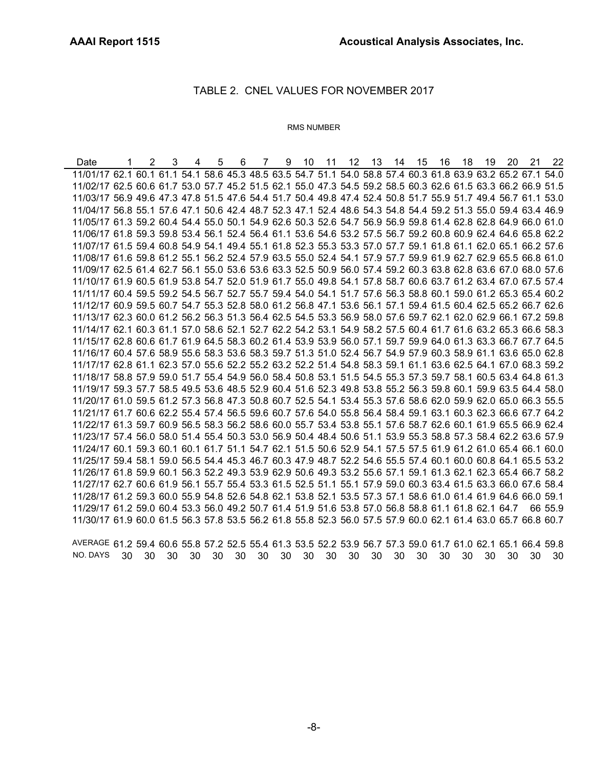### TABLE 2. CNEL VALUES FOR NOVEMBER 2017

#### RMS NUMBER

Date 1 2 3 4 5 6 7 9 10 11 12 13 14 15 16 18 19 20 21 22 11/01/17 62.1 60.1 61.1 54.1 58.6 45.3 48.5 63.5 54.7 51.1 54.0 58.8 57.4 60.3 61.8 63.9 63.2 65.2 67.1 54.0 11/02/17 62.5 60.6 61.7 53.0 57.7 45.2 51.5 62.1 55.0 47.3 54.5 59.2 58.5 60.3 62.6 61.5 63.3 66.2 66.9 51.5 11/03/17 56.9 49.6 47.3 47.8 51.5 47.6 54.4 51.7 50.4 49.8 47.4 52.4 50.8 51.7 55.9 51.7 49.4 56.7 61.1 53.0 11/04/17 56.8 55.1 57.6 47.1 50.6 42.4 48.7 52.3 47.1 52.4 48.6 54.3 54.8 54.4 59.2 51.3 55.0 59.4 63.4 46.9 11/05/17 61.3 59.2 60.4 54.4 55.0 50.1 54.9 62.6 50.3 52.6 54.7 56.9 56.9 59.8 61.4 62.8 62.8 64.9 66.0 61.0 11/06/17 61.8 59.3 59.8 53.4 56.1 52.4 56.4 61.1 53.6 54.6 53.2 57.5 56.7 59.2 60.8 60.9 62.4 64.6 65.8 62.2 11/07/17 61.5 59.4 60.8 54.9 54.1 49.4 55.1 61.8 52.3 55.3 53.3 57.0 57.7 59.1 61.8 61.1 62.0 65.1 66.2 57.6 11/08/17 61.6 59.8 61.2 55.1 56.2 52.4 57.9 63.5 55.0 52.4 54.1 57.9 57.7 59.9 61.9 62.7 62.9 65.5 66.8 61.0 11/09/17 62.5 61.4 62.7 56.1 55.0 53.6 53.6 63.3 52.5 50.9 56.0 57.4 59.2 60.3 63.8 62.8 63.6 67.0 68.0 57.6 11/10/17 61.9 60.5 61.9 53.8 54.7 52.0 51.9 61.7 55.0 49.8 54.1 57.8 58.7 60.6 63.7 61.2 63.4 67.0 67.5 57.4 11/11/17 60.4 59.5 59.2 54.5 56.7 52.7 55.7 59.4 54.0 54.1 51.7 57.6 56.3 58.8 60.1 59.0 61.2 65.3 65.4 60.2 11/12/17 60.9 59.5 60.7 54.7 55.3 52.8 58.0 61.2 56.8 47.1 53.6 56.1 57.1 59.4 61.5 60.4 62.5 65.2 66.7 62.6 11/13/17 62.3 60.0 61.2 56.2 56.3 51.3 56.4 62.5 54.5 53.3 56.9 58.0 57.6 59.7 62.1 62.0 62.9 66.1 67.2 59.8 11/14/17 62.1 60.3 61.1 57.0 58.6 52.1 52.7 62.2 54.2 53.1 54.9 58.2 57.5 60.4 61.7 61.6 63.2 65.3 66.6 58.3 11/15/17 62.8 60.6 61.7 61.9 64.5 58.3 60.2 61.4 53.9 53.9 56.0 57.1 59.7 59.9 64.0 61.3 63.3 66.7 67.7 64.5 11/16/17 60.4 57.6 58.9 55.6 58.3 53.6 58.3 59.7 51.3 51.0 52.4 56.7 54.9 57.9 60.3 58.9 61.1 63.6 65.0 62.8 11/17/17 62.8 61.1 62.3 57.0 55.6 52.2 55.2 63.2 52.2 51.4 54.8 58.3 59.1 61.1 63.6 62.5 64.1 67.0 68.3 59.2 11/18/17 58.8 57.9 59.0 51.7 55.4 54.9 56.0 58.4 50.8 53.1 51.5 54.5 55.3 57.3 59.7 58.1 60.5 63.4 64.8 61.3 11/19/17 59.3 57.7 58.5 49.5 53.6 48.5 52.9 60.4 51.6 52.3 49.8 53.8 55.2 56.3 59.8 60.1 59.9 63.5 64.4 58.0 11/20/17 61.0 59.5 61.2 57.3 56.8 47.3 50.8 60.7 52.5 54.1 53.4 55.3 57.6 58.6 62.0 59.9 62.0 65.0 66.3 55.5 11/21/17 61.7 60.6 62.2 55.4 57.4 56.5 59.6 60.7 57.6 54.0 55.8 56.4 58.4 59.1 63.1 60.3 62.3 66.6 67.7 64.2 11/22/17 61.3 59.7 60.9 56.5 58.3 56.2 58.6 60.0 55.7 53.4 53.8 55.1 57.6 58.7 62.6 60.1 61.9 65.5 66.9 62.4 11/23/17 57.4 56.0 58.0 51.4 55.4 50.3 53.0 56.9 50.4 48.4 50.6 51.1 53.9 55.3 58.8 57.3 58.4 62.2 63.6 57.9 11/24/17 60.1 59.3 60.1 60.1 61.7 51.1 54.7 62.1 51.5 50.6 52.9 54.1 57.5 57.5 61.9 61.2 61.0 65.4 66.1 60.0 11/25/17 59.4 58.1 59.0 56.5 54.4 45.3 46.7 60.3 47.9 48.7 52.2 54.6 55.5 57.4 60.1 60.0 60.8 64.1 65.5 53.2 11/26/17 61.8 59.9 60.1 56.3 52.2 49.3 53.9 62.9 50.6 49.3 53.2 55.6 57.1 59.1 61.3 62.1 62.3 65.4 66.7 58.2 11/27/17 62.7 60.6 61.9 56.1 55.7 55.4 53.3 61.5 52.5 51.1 55.1 57.9 59.0 60.3 63.4 61.5 63.3 66.0 67.6 58.4 11/28/17 61.2 59.3 60.0 55.9 54.8 52.6 54.8 62.1 53.8 52.1 53.5 57.3 57.1 58.6 61.0 61.4 61.9 64.6 66.0 59.1 11/29/17 61.2 59.0 60.4 53.3 56.0 49.2 50.7 61.4 51.9 51.6 53.8 57.0 56.8 58.8 61.1 61.8 62.1 64.7 66 55.9 11/30/17 61.9 60.0 61.5 56.3 57.8 53.5 56.2 61.8 55.8 52.3 56.0 57.5 57.9 60.0 62.1 61.4 63.0 65.7 66.8 60.7

AVERAGE 61.2 59.4 60.6 55.8 57.2 52.5 55.4 61.3 53.5 52.2 53.9 56.7 57.3 59.0 61.7 61.0 62.1 65.1 66.4 59.8 NO. DAYS 30 30 30 30 30 30 30 30 30 30 30 30 30 30 30 30 30 30 30 30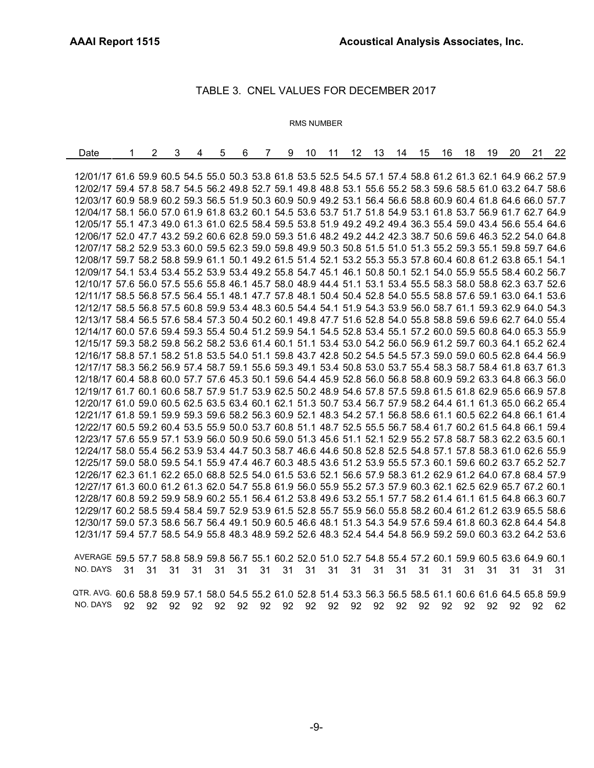## TABLE 3. CNEL VALUES FOR DECEMBER 2017

#### RMS NUMBER

| Date                                                                                                         | 2 | 3 | 4 | 5 | 6 | 7 | 9 | 10 | 11 | 12 <sup>°</sup> | - 13 | 14 | 15 | 16 | 18 | 19 | 20 | 21 | 22 |
|--------------------------------------------------------------------------------------------------------------|---|---|---|---|---|---|---|----|----|-----------------|------|----|----|----|----|----|----|----|----|
|                                                                                                              |   |   |   |   |   |   |   |    |    |                 |      |    |    |    |    |    |    |    |    |
| 12/01/17 61.6 59.9 60.5 54.5 55.0 50.3 53.8 61.8 53.5 52.5 54.5 57.1 57.4 58.8 61.2 61.3 62.1 64.9 66.2 57.9 |   |   |   |   |   |   |   |    |    |                 |      |    |    |    |    |    |    |    |    |
| 12/02/17 59.4 57.8 58.7 54.5 56.2 49.8 52.7 59.1 49.8 48.8 53.1 55.6 55.2 58.3 59.6 58.5 61.0 63.2 64.7 58.6 |   |   |   |   |   |   |   |    |    |                 |      |    |    |    |    |    |    |    |    |
| 12/03/17 60.9 58.9 60.2 59.3 56.5 51.9 50.3 60.9 50.9 49.2 53.1 56.4 56.6 58.8 60.9 60.4 61.8 64.6 66.0 57.7 |   |   |   |   |   |   |   |    |    |                 |      |    |    |    |    |    |    |    |    |
| 12/04/17 58.1 56.0 57.0 61.9 61.8 63.2 60.1 54.5 53.6 53.7 51.7 51.8 54.9 53.1 61.8 53.7 56.9 61.7 62.7 64.9 |   |   |   |   |   |   |   |    |    |                 |      |    |    |    |    |    |    |    |    |
| 12/05/17 55.1 47.3 49.0 61.3 61.0 62.5 58.4 59.5 53.8 51.9 49.2 49.2 49.4 36.3 55.4 59.0 43.4 56.6 55.4 64.6 |   |   |   |   |   |   |   |    |    |                 |      |    |    |    |    |    |    |    |    |
| 12/06/17 52.0 47.7 43.2 59.2 60.6 62.8 59.0 59.3 51.6 48.2 49.2 44.2 42.3 38.7 50.6 59.6 46.3 52.2 54.0 64.8 |   |   |   |   |   |   |   |    |    |                 |      |    |    |    |    |    |    |    |    |
| 12/07/17 58.2 52.9 53.3 60.0 59.5 62.3 59.0 59.8 49.9 50.3 50.8 51.5 51.0 51.3 55.2 59.3 55.1 59.8 59.7 64.6 |   |   |   |   |   |   |   |    |    |                 |      |    |    |    |    |    |    |    |    |
| 12/08/17 59.7 58.2 58.8 59.9 61.1 50.1 49.2 61.5 51.4 52.1 53.2 55.3 55.3 57.8 60.4 60.8 61.2 63.8 65.1 54.1 |   |   |   |   |   |   |   |    |    |                 |      |    |    |    |    |    |    |    |    |
| 12/09/17 54.1 53.4 53.4 55.2 53.9 53.4 49.2 55.8 54.7 45.1 46.1 50.8 50.1 52.1 54.0 55.9 55.5 58.4 60.2 56.7 |   |   |   |   |   |   |   |    |    |                 |      |    |    |    |    |    |    |    |    |
| 12/10/17 57.6 56.0 57.5 55.6 55.8 46.1 45.7 58.0 48.9 44.4 51.1 53.1 53.4 55.5 58.3 58.0 58.8 62.3 63.7 52.6 |   |   |   |   |   |   |   |    |    |                 |      |    |    |    |    |    |    |    |    |
| 12/11/17 58.5 56.8 57.5 56.4 55.1 48.1 47.7 57.8 48.1 50.4 50.4 52.8 54.0 55.5 58.8 57.6 59.1 63.0 64.1 53.6 |   |   |   |   |   |   |   |    |    |                 |      |    |    |    |    |    |    |    |    |
| 12/12/17 58.5 56.8 57.5 60.8 59.9 53.4 48.3 60.5 54.4 54.1 51.9 54.3 53.9 56.0 58.7 61.1 59.3 62.9 64.0 54.3 |   |   |   |   |   |   |   |    |    |                 |      |    |    |    |    |    |    |    |    |
| 12/13/17 58.4 56.5 57.6 58.4 57.3 50.4 50.2 60.1 49.8 47.7 51.6 52.8 54.0 55.8 58.8 59.6 59.6 62.7 64.0 55.4 |   |   |   |   |   |   |   |    |    |                 |      |    |    |    |    |    |    |    |    |
| 12/14/17 60.0 57.6 59.4 59.3 55.4 50.4 51.2 59.9 54.1 54.5 52.8 53.4 55.1 57.2 60.0 59.5 60.8 64.0 65.3 55.9 |   |   |   |   |   |   |   |    |    |                 |      |    |    |    |    |    |    |    |    |
| 12/15/17 59.3 58.2 59.8 56.2 58.2 53.6 61.4 60.1 51.1 53.4 53.0 54.2 56.0 56.9 61.2 59.7 60.3 64.1 65.2 62.4 |   |   |   |   |   |   |   |    |    |                 |      |    |    |    |    |    |    |    |    |
| 12/16/17 58.8 57.1 58.2 51.8 53.5 54.0 51.1 59.8 43.7 42.8 50.2 54.5 54.5 57.3 59.0 59.0 60.5 62.8 64.4 56.9 |   |   |   |   |   |   |   |    |    |                 |      |    |    |    |    |    |    |    |    |
| 12/17/17 58.3 56.2 56.9 57.4 58.7 59.1 55.6 59.3 49.1 53.4 50.8 53.0 53.7 55.4 58.3 58.7 58.4 61.8 63.7 61.3 |   |   |   |   |   |   |   |    |    |                 |      |    |    |    |    |    |    |    |    |
| 12/18/17 60.4 58.8 60.0 57.7 57.6 45.3 50.1 59.6 54.4 45.9 52.8 56.0 56.8 58.8 60.9 59.2 63.3 64.8 66.3 56.0 |   |   |   |   |   |   |   |    |    |                 |      |    |    |    |    |    |    |    |    |
| 12/19/17 61.7 60.1 60.6 58.7 57.9 51.7 53.9 62.5 50.2 48.9 54.6 57.8 57.5 59.8 61.5 61.8 62.9 65.6 66.9 57.8 |   |   |   |   |   |   |   |    |    |                 |      |    |    |    |    |    |    |    |    |
| 12/20/17 61.0 59.0 60.5 62.5 63.5 63.4 60.1 62.1 51.3 50.7 53.4 56.7 57.9 58.2 64.4 61.1 61.3 65.0 66.2 65.4 |   |   |   |   |   |   |   |    |    |                 |      |    |    |    |    |    |    |    |    |
| 12/21/17 61.8 59.1 59.9 59.3 59.6 58.2 56.3 60.9 52.1 48.3 54.2 57.1 56.8 58.6 61.1 60.5 62.2 64.8 66.1 61.4 |   |   |   |   |   |   |   |    |    |                 |      |    |    |    |    |    |    |    |    |
| 12/22/17 60.5 59.2 60.4 53.5 55.9 50.0 53.7 60.8 51.1 48.7 52.5 55.5 56.7 58.4 61.7 60.2 61.5 64.8 66.1 59.4 |   |   |   |   |   |   |   |    |    |                 |      |    |    |    |    |    |    |    |    |
| 12/23/17 57.6 55.9 57.1 53.9 56.0 50.9 50.6 59.0 51.3 45.6 51.1 52.1 52.9 55.2 57.8 58.7 58.3 62.2 63.5 60.1 |   |   |   |   |   |   |   |    |    |                 |      |    |    |    |    |    |    |    |    |
| 12/24/17 58.0 55.4 56.2 53.9 53.4 44.7 50.3 58.7 46.6 44.6 50.8 52.8 52.5 54.8 57.1 57.8 58.3 61.0 62.6 55.9 |   |   |   |   |   |   |   |    |    |                 |      |    |    |    |    |    |    |    |    |
| 12/25/17 59.0 58.0 59.5 54.1 55.9 47.4 46.7 60.3 48.5 43.6 51.2 53.9 55.5 57.3 60.1 59.6 60.2 63.7 65.2 52.7 |   |   |   |   |   |   |   |    |    |                 |      |    |    |    |    |    |    |    |    |
| 12/26/17 62.3 61.1 62.2 65.0 68.8 52.5 54.0 61.5 53.6 52.1 56.6 57.9 58.3 61.2 62.9 61.2 64.0 67.8 68.4 57.9 |   |   |   |   |   |   |   |    |    |                 |      |    |    |    |    |    |    |    |    |
| 12/27/17 61.3 60.0 61.2 61.3 62.0 54.7 55.8 61.9 56.0 55.9 55.2 57.3 57.9 60.3 62.1 62.5 62.9 65.7 67.2 60.1 |   |   |   |   |   |   |   |    |    |                 |      |    |    |    |    |    |    |    |    |
| 12/28/17 60.8 59.2 59.9 58.9 60.2 55.1 56.4 61.2 53.8 49.6 53.2 55.1 57.7 58.2 61.4 61.1 61.5 64.8 66.3 60.7 |   |   |   |   |   |   |   |    |    |                 |      |    |    |    |    |    |    |    |    |
| 12/29/17 60.2 58.5 59.4 58.4 59.7 52.9 53.9 61.5 52.8 55.7 55.9 56.0 55.8 58.2 60.4 61.2 61.2 63.9 65.5 58.6 |   |   |   |   |   |   |   |    |    |                 |      |    |    |    |    |    |    |    |    |
| 12/30/17 59.0 57.3 58.6 56.7 56.4 49.1 50.9 60.5 46.6 48.1 51.3 54.3 54.9 57.6 59.4 61.8 60.3 62.8 64.4 54.8 |   |   |   |   |   |   |   |    |    |                 |      |    |    |    |    |    |    |    |    |
| 12/31/17 59.4 57.7 58.5 54.9 55.8 48.3 48.9 59.2 52.6 48.3 52.4 54.4 54.8 56.9 59.2 59.0 60.3 63.2 64.2 53.6 |   |   |   |   |   |   |   |    |    |                 |      |    |    |    |    |    |    |    |    |
|                                                                                                              |   |   |   |   |   |   |   |    |    |                 |      |    |    |    |    |    |    |    |    |

AVERAGE 59.5 57.7 58.8 58.9 59.8 56.7 55.1 60.2 52.0 51.0 52.7 54.8 55.4 57.2 60.1 59.9 60.5 63.6 64.9 60.1 NO. DAYS 31 31 31 31 31 31 31 31 31 31 31 31 31 31 31 31 31 31 31 31

QTR. AVG. 60.6 58.8 59.9 57.1 58.0 54.5 55.2 61.0 52.8 51.4 53.3 56.3 56.5 58.5 61.1 60.6 61.6 64.5 65.8 59.9 NO. DAYS 92 92 92 92 92 92 92 92 92 92 92 92 92 92 92 92 92 92 92 62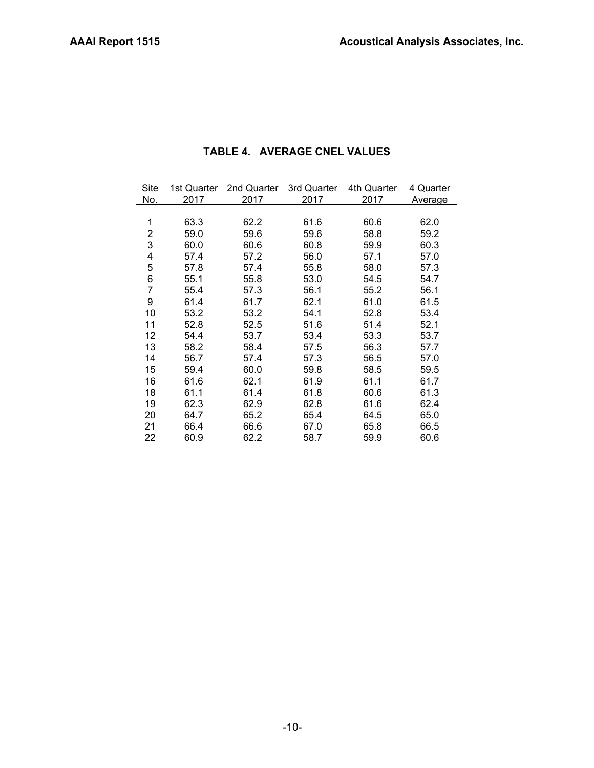| Site           | 1st Quarter | 2nd Quarter | 3rd Quarter | 4th Quarter | 4 Quarter |
|----------------|-------------|-------------|-------------|-------------|-----------|
| No.            | 2017        | 2017        | 2017        | 2017        | Average   |
|                |             |             |             |             |           |
| 1              | 63.3        | 62.2        | 61.6        | 60.6        | 62.0      |
| $\overline{2}$ | 59.0        | 59.6        | 59.6        | 58.8        | 59.2      |
| 3              | 60.0        | 60.6        | 60.8        | 59.9        | 60.3      |
| 4              | 57.4        | 57.2        | 56.0        | 57.1        | 57.0      |
| 5              | 57.8        | 57.4        | 55.8        | 58.0        | 57.3      |
| 6              | 55.1        | 55.8        | 53.0        | 54.5        | 54.7      |
| 7              | 55.4        | 57.3        | 56.1        | 55.2        | 56.1      |
| 9              | 61.4        | 61.7        | 62.1        | 61.0        | 61.5      |
| 10             | 53.2        | 53.2        | 54.1        | 52.8        | 53.4      |
| 11             | 52.8        | 52.5        | 51.6        | 51.4        | 52.1      |
| 12             | 54.4        | 53.7        | 53.4        | 53.3        | 53.7      |
| 13             | 58.2        | 58.4        | 57.5        | 56.3        | 57.7      |
| 14             | 56.7        | 57.4        | 57.3        | 56.5        | 57.0      |
| 15             | 59.4        | 60.0        | 59.8        | 58.5        | 59.5      |
| 16             | 61.6        | 62.1        | 61.9        | 61.1        | 61.7      |
| 18             | 61.1        | 61.4        | 61.8        | 60.6        | 61.3      |
| 19             | 62.3        | 62.9        | 62.8        | 61.6        | 62.4      |
| 20             | 64.7        | 65.2        | 65.4        | 64.5        | 65.0      |
| 21             | 66.4        | 66.6        | 67.0        | 65.8        | 66.5      |
| 22             | 60.9        | 62.2        | 58.7        | 59.9        | 60.6      |

## **TABLE 4. AVERAGE CNEL VALUES**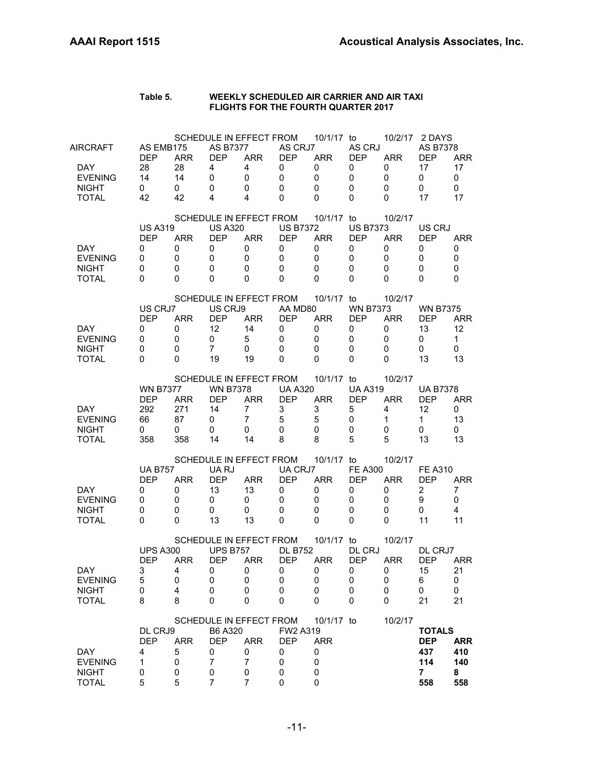| Table 5. | WEEKLY SCHEDULED AIR CARRIER AND AIR TAXI  |
|----------|--------------------------------------------|
|          | <b>FLIGHTS FOR THE FOURTH QUARTER 2017</b> |

| AIRCRAFT<br>DAY.<br><b>EVENING</b><br><b>NIGHT</b><br><b>TOTAL</b> | AS EMB175<br><b>DEP</b><br>28<br>14<br>0<br>42         | <b>ARR</b><br>28<br>14<br>0<br>42           | <b>AS B7377</b><br><b>DEP</b><br>4<br>0<br>0<br>4        | SCHEDULE IN EFFECT FROM<br><b>ARR</b><br>4<br>0<br>0<br>4                            | AS CRJ7<br><b>DEP</b><br>0<br>$\mathbf 0$<br>0<br>$\Omega$         | 10/1/17 to<br><b>ARR</b><br>0<br>$\mathbf 0$<br>$\mathbf 0$<br>$\Omega$ | AS CRJ<br><b>DEP</b><br>0<br>$\mathbf 0$<br>0<br>$\Omega$ | 10/2/17<br><b>ARR</b><br>0<br>0<br>0<br>0 | 2 DAYS<br>AS B7378<br><b>DEP</b><br>17<br>0<br>0<br>17        | <b>ARR</b><br>17<br>$\mathbf 0$<br>0<br>17  |
|--------------------------------------------------------------------|--------------------------------------------------------|---------------------------------------------|----------------------------------------------------------|--------------------------------------------------------------------------------------|--------------------------------------------------------------------|-------------------------------------------------------------------------|-----------------------------------------------------------|-------------------------------------------|---------------------------------------------------------------|---------------------------------------------|
| DAY.<br><b>EVENING</b><br><b>NIGHT</b><br><b>TOTAL</b>             | <b>US A319</b><br><b>DEP</b><br>0<br>0<br>0<br>0       | <b>ARR</b><br>0<br>0<br>0<br>0              | <b>US A320</b><br><b>DEP</b><br>0<br>0<br>0<br>0         | SCHEDULE IN EFFECT FROM<br><b>ARR</b><br>0<br>0<br>0<br>0                            | <b>US B7372</b><br><b>DEP</b><br>0<br>$\mathbf 0$<br>0<br>$\Omega$ | 10/1/17 to<br><b>ARR</b><br>0<br>$\mathbf 0$<br>0<br>$\Omega$           | <b>US B7373</b><br><b>DEP</b><br>0<br>0<br>0<br>0         | 10/2/17<br><b>ARR</b><br>0<br>0<br>0<br>0 | US CRJ<br><b>DEP</b><br>0<br>0<br>0<br>0                      | ARR<br>0<br>0<br>0<br>0                     |
| <b>DAY</b><br><b>EVENING</b><br><b>NIGHT</b><br><b>TOTAL</b>       | US CRJ7<br><b>DEP</b><br>0<br>0<br>0<br>0              | <b>ARR</b><br>0<br>0<br>0<br>$\Omega$       | US CRJ9<br><b>DEP</b><br>12<br>0<br>$\overline{7}$<br>19 | SCHEDULE IN EFFECT FROM<br><b>ARR</b><br>14<br>5<br>0<br>19                          | AA MD80<br><b>DEP</b><br>$\mathbf 0$<br>0<br>$\Omega$<br>$\Omega$  | 10/1/17 to<br><b>ARR</b><br>0<br>$\mathbf 0$<br>0<br>0                  | <b>WN B7373</b><br><b>DEP</b><br>0<br>0<br>0<br>0         | 10/2/17<br><b>ARR</b><br>0<br>0<br>0<br>0 | <b>WN B7375</b><br><b>DEP</b><br>13<br>0<br>0<br>13           | <b>ARR</b><br>12<br>$\mathbf{1}$<br>0<br>13 |
| DAY.<br><b>EVENING</b><br><b>NIGHT</b><br><b>TOTAL</b>             | <b>WN B7377</b><br><b>DEP</b><br>292<br>66<br>0<br>358 | <b>ARR</b><br>271<br>87<br>0<br>358         | <b>WN B7378</b><br><b>DEP</b><br>14<br>0<br>0<br>14      | SCHEDULE IN EFFECT FROM<br><b>ARR</b><br>$\overline{7}$<br>$\overline{7}$<br>0<br>14 | <b>UA A320</b><br><b>DEP</b><br>3<br>5<br>$\mathbf 0$<br>8         | 10/1/17 to<br><b>ARR</b><br>3<br>5<br>$\mathbf 0$<br>8                  | <b>UA A319</b><br><b>DEP</b><br>5<br>0<br>0<br>5          | 10/2/17<br><b>ARR</b><br>4<br>1<br>0<br>5 | <b>UA B7378</b><br><b>DEP</b><br>12<br>$\mathbf 1$<br>0<br>13 | <b>ARR</b><br>0<br>13<br>0<br>13            |
| DAY.<br><b>EVENING</b><br><b>NIGHT</b><br><b>TOTAL</b>             | <b>UA B757</b><br><b>DEP</b><br>0<br>0<br>0<br>0       | <b>ARR</b><br>0<br>0<br>0<br>0              | UA RJ<br><b>DEP</b><br>13<br>0<br>0<br>13                | SCHEDULE IN EFFECT FROM<br><b>ARR</b><br>13<br>0<br>0<br>13                          | UA CRJ7<br><b>DEP</b><br>0<br>0<br>0<br>0                          | 10/1/17 to<br><b>ARR</b><br>0<br>0<br>0<br>$\Omega$                     | <b>FE A300</b><br><b>DEP</b><br>0<br>0<br>0<br>0          | 10/2/17<br><b>ARR</b><br>0<br>0<br>0<br>0 | <b>FE A310</b><br><b>DEP</b><br>2<br>9<br>0<br>11             | <b>ARR</b><br>7<br>0<br>4<br>11             |
| DAY<br><b>EVENING</b><br><b>NIGHT</b><br><b>TOTAL</b>              | <b>UPS A300</b><br><b>DEP</b><br>3<br>5<br>0<br>8      | <b>ARR</b><br>4<br>0<br>$\overline{4}$<br>8 | <b>UPS B757</b><br><b>DEP</b><br>U<br>0<br>0<br>0        | SCHEDULE IN EFFECT FROM<br><b>ARR</b><br>U<br>0<br>0<br>0                            | <b>DL B752</b><br><b>DEP</b><br>U<br>0<br>0<br>0                   | 10/1/17 to<br><b>ARR</b><br>U<br>0<br>0<br>0                            | DL CRJ<br><b>DEP</b><br>U<br>0<br>0<br>0                  | 10/2/17<br><b>ARR</b><br>U<br>0<br>0<br>0 | DL CRJ7<br><b>DEP</b><br>15<br>6<br>0<br>21                   | ARR<br>21<br>0<br>0<br>21                   |
| DAY<br><b>EVENING</b><br><b>NIGHT</b><br><b>TOTAL</b>              | DL CRJ9<br><b>DEP</b><br>4<br>$\mathbf{1}$<br>0<br>5   | <b>ARR</b><br>5<br>0<br>0<br>5              | B6 A320<br><b>DEP</b><br>0<br>7<br>0<br>7                | SCHEDULE IN EFFECT FROM<br><b>ARR</b><br>0<br>$\overline{7}$<br>0<br>7               | FW2 A319<br><b>DEP</b><br>0<br>0<br>0<br>0                         | 10/1/17 to<br><b>ARR</b><br>0<br>0<br>0<br>0                            |                                                           | 10/2/17                                   | <b>TOTALS</b><br><b>DEP</b><br>437<br>114<br>7<br>558         | <b>ARR</b><br>410<br>140<br>8<br>558        |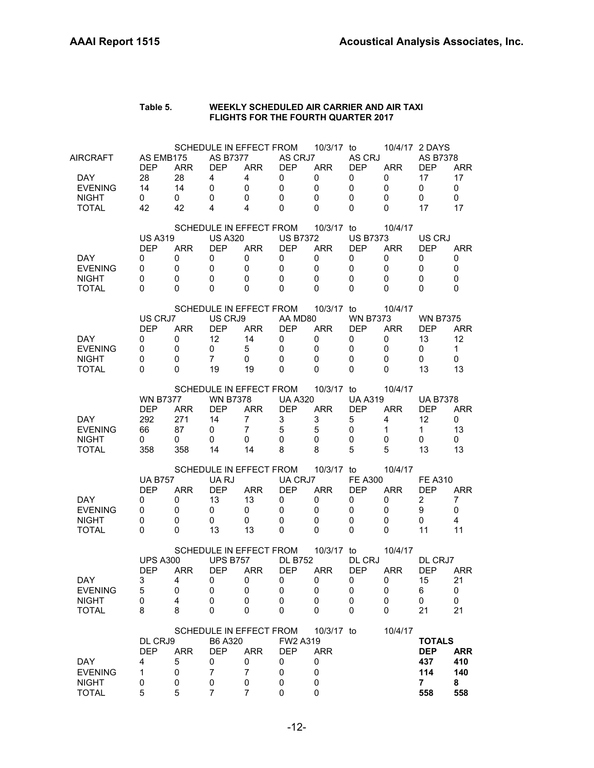| Table 5. | WEEKLY SCHEDULED AIR CARRIER AND AIR TAXI  |
|----------|--------------------------------------------|
|          | <b>FLIGHTS FOR THE FOURTH QUARTER 2017</b> |

| <b>AIRCRAFT</b><br>DAY.<br><b>EVENING</b><br><b>NIGHT</b><br><b>TOTAL</b> | AS EMB175<br><b>DEP</b><br>28<br>14<br>$\mathbf 0$<br>42 | <b>ARR</b><br>28<br>14<br>0<br>42        | <b>AS B7377</b><br><b>DEP</b><br>4<br>$\mathbf 0$<br>0<br>4           | SCHEDULE IN EFFECT FROM<br><b>ARR</b><br>4<br>0<br>0<br>4                            | AS CRJ7<br>DEP<br>0<br>$\mathbf 0$<br>0<br>$\Omega$                | 10/3/17 to<br><b>ARR</b><br>0<br>0<br>$\mathbf 0$<br>$\Omega$           | AS CRJ<br><b>DEP</b><br>0<br>0<br>$\mathbf 0$<br>0                   | <b>ARR</b><br>0<br>0<br>0<br>$\Omega$     | 10/4/17 2 DAYS<br>AS B7378<br><b>DEP</b><br>17<br>0<br>0<br>17 | <b>ARR</b><br>17<br>0<br>0<br>17            |
|---------------------------------------------------------------------------|----------------------------------------------------------|------------------------------------------|-----------------------------------------------------------------------|--------------------------------------------------------------------------------------|--------------------------------------------------------------------|-------------------------------------------------------------------------|----------------------------------------------------------------------|-------------------------------------------|----------------------------------------------------------------|---------------------------------------------|
| DAY.<br><b>EVENING</b><br><b>NIGHT</b><br><b>TOTAL</b>                    | <b>US A319</b><br><b>DEP</b><br>0<br>0<br>0<br>0         | <b>ARR</b><br>0<br>0<br>0<br>$\Omega$    | <b>US A320</b><br><b>DEP</b><br>0<br>0<br>0<br>$\Omega$               | SCHEDULE IN EFFECT FROM<br><b>ARR</b><br>0<br>0<br>0<br>0                            | <b>US B7372</b><br><b>DEP</b><br>0<br>0<br>$\mathbf 0$<br>$\Omega$ | 10/3/17 to<br><b>ARR</b><br>0<br>$\mathbf 0$<br>$\mathbf 0$<br>$\Omega$ | <b>US B7373</b><br><b>DEP</b><br>0<br>0<br>0<br>0                    | 10/4/17<br><b>ARR</b><br>0<br>0<br>0<br>0 | US CRJ<br><b>DEP</b><br>0<br>0<br>0<br>$\Omega$                | <b>ARR</b><br>0<br>$\mathbf 0$<br>0<br>0    |
| <b>DAY</b><br><b>EVENING</b><br><b>NIGHT</b><br><b>TOTAL</b>              | US CRJ7<br><b>DEP</b><br>0<br>0<br>$\Omega$<br>$\Omega$  | <b>ARR</b><br>0<br>0<br>$\mathbf 0$<br>0 | US CRJ9<br><b>DEP</b><br>12 <sup>2</sup><br>0<br>$\overline{7}$<br>19 | SCHEDULE IN EFFECT FROM<br><b>ARR</b><br>14<br>5<br>0<br>19                          | AA MD80<br><b>DEP</b><br>0<br>$\mathbf 0$<br>0<br>$\Omega$         | 10/3/17 to<br><b>ARR</b><br>0<br>$\mathbf 0$<br>$\mathbf 0$<br>0        | <b>WN B7373</b><br><b>DEP</b><br>0<br>0<br>0<br>0                    | 10/4/17<br><b>ARR</b><br>0<br>0<br>0<br>0 | <b>WN B7375</b><br><b>DEP</b><br>13<br>0<br>0<br>13            | <b>ARR</b><br>12<br>$\mathbf{1}$<br>0<br>13 |
| DAY.<br><b>EVENING</b><br><b>NIGHT</b><br><b>TOTAL</b>                    | <b>WN B7377</b><br><b>DFP</b><br>292<br>66<br>0<br>358   | <b>ARR</b><br>271<br>87<br>0<br>358      | <b>WN B7378</b><br><b>DEP</b><br>14<br>0<br>0<br>14                   | SCHEDULE IN EFFECT FROM<br><b>ARR</b><br>$\overline{7}$<br>$\overline{7}$<br>0<br>14 | <b>UA A320</b><br><b>DEP</b><br>3<br>5<br>$\mathbf 0$<br>8         | 10/3/17 to<br><b>ARR</b><br>3<br>$\sqrt{5}$<br>$\mathbf 0$<br>8         | <b>UA A319</b><br><b>DEP</b><br>5<br>$\mathbf 0$<br>$\mathbf 0$<br>5 | 10/4/17<br><b>ARR</b><br>4<br>1<br>0<br>5 | <b>UA B7378</b><br>DEP<br>12<br>$\mathbf{1}$<br>0<br>13        | <b>ARR</b><br>0<br>13<br>0<br>13            |
| DAY.<br><b>EVENING</b><br><b>NIGHT</b><br><b>TOTAL</b>                    | <b>UA B757</b><br><b>DEP</b><br>0<br>0<br>0<br>0         | <b>ARR</b><br>0<br>0<br>0<br>$\Omega$    | UA RJ<br><b>DEP</b><br>13<br>0<br>0<br>13                             | SCHEDULE IN EFFECT FROM<br><b>ARR</b><br>13<br>0<br>0<br>13                          | UA CRJ7<br><b>DEP</b><br>0<br>0<br>$\mathbf 0$<br>0                | 10/3/17 to<br><b>ARR</b><br>$\mathbf 0$<br>0<br>0<br>0                  | <b>FE A300</b><br><b>DEP</b><br>0<br>0<br>0<br>0                     | 10/4/17<br><b>ARR</b><br>0<br>0<br>0<br>0 | <b>FE A310</b><br>DEP<br>$\overline{2}$<br>9<br>0<br>11        | ARR<br>$\overline{7}$<br>0<br>4<br>11       |
| DAY<br><b>EVENING</b><br><b>NIGHT</b><br><b>TOTAL</b>                     | <b>UPS A300</b><br><b>DEP</b><br>3<br>5<br>0<br>8        | <b>ARR</b><br>4<br>0<br>4<br>8           | <b>UPS B757</b><br><b>DEP</b><br>0<br>0<br>0<br>0                     | SCHEDULE IN EFFECT FROM<br><b>ARR</b><br>0<br>0<br>0<br>0                            | <b>DL B752</b><br><b>DEP</b><br>0<br>0<br>0<br>0                   | 10/3/17 to<br><b>ARR</b><br>0<br>0<br>0<br>0                            | DL CRJ<br><b>DEP</b><br>0<br>0<br>0<br>0                             | 10/4/17<br><b>ARR</b><br>0<br>0<br>0<br>0 | DL CRJ7<br><b>DEP</b><br>15<br>6<br>0<br>21                    | <b>ARR</b><br>21<br>0<br>0<br>21            |
| <b>DAY</b><br><b>EVENING</b><br><b>NIGHT</b><br><b>TOTAL</b>              | DL CRJ9<br><b>DEP</b><br>4<br>1<br>0<br>5                | <b>ARR</b><br>5<br>0<br>0<br>5           | B6 A320<br><b>DEP</b><br>0<br>$\overline{7}$<br>0<br>$\overline{7}$   | SCHEDULE IN EFFECT FROM<br><b>ARR</b><br>0<br>$\overline{7}$<br>0<br>$\overline{7}$  | FW2 A319<br><b>DEP</b><br>0<br>0<br>0<br>0                         | 10/3/17 to<br><b>ARR</b><br>0<br>0<br>0<br>0                            |                                                                      | 10/4/17                                   | <b>TOTALS</b><br><b>DEP</b><br>437<br>114<br>7<br>558          | <b>ARR</b><br>410<br>140<br>8<br>558        |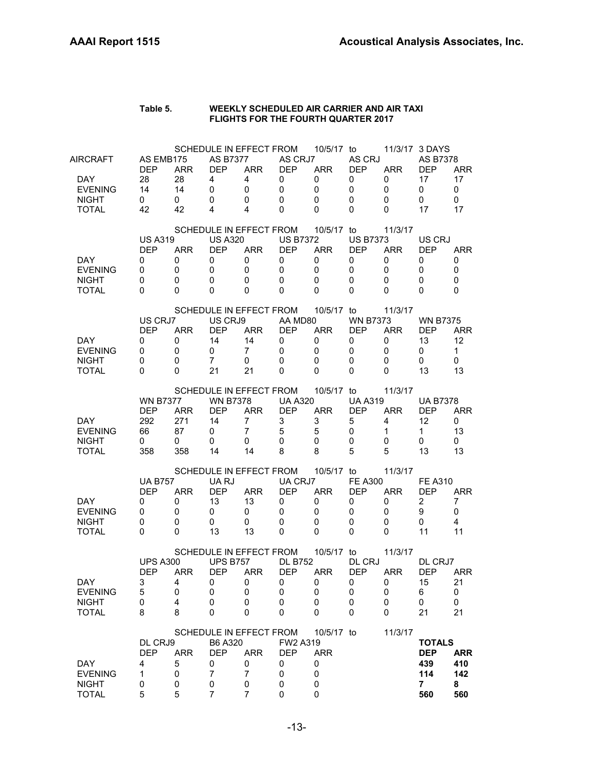| Table 5. | WEEKLY SCHEDULED AIR CARRIER AND AIR TAXI  |
|----------|--------------------------------------------|
|          | <b>FLIGHTS FOR THE FOURTH QUARTER 2017</b> |

| AIRCRAFT<br>DAY.<br><b>EVENING</b><br><b>NIGHT</b><br>TOTAL  | AS EMB175<br><b>DEP</b><br>28<br>14<br>0<br>42          | <b>ARR</b><br>28<br>14<br>$\mathbf 0$<br>42        | <b>AS B7377</b><br><b>DEP</b><br>4<br>$\mathbf 0$<br>$\mathbf 0$<br>4             | <b>ARR</b><br>4<br>0<br>0<br>4                            | SCHEDULE IN EFFECT FROM<br>AS CRJ7<br>DEP<br>0<br>$\mathbf 0$<br>0<br>$\Omega$               | 10/5/17 to<br><b>ARR</b><br>0<br>0<br>$\mathbf 0$<br>$\Omega$ | AS CRJ<br><b>DEP</b><br>0<br>0<br>$\mathbf 0$<br>$\Omega$   | <b>ARR</b><br>0<br>0<br>0<br>$\Omega$     | 11/3/17 3 DAYS<br>AS B7378<br><b>DEP</b><br>17<br>$\mathbf 0$<br>0<br>17 | <b>ARR</b><br>17<br>$\mathbf 0$<br>$\mathbf{0}$<br>17 |
|--------------------------------------------------------------|---------------------------------------------------------|----------------------------------------------------|-----------------------------------------------------------------------------------|-----------------------------------------------------------|----------------------------------------------------------------------------------------------|---------------------------------------------------------------|-------------------------------------------------------------|-------------------------------------------|--------------------------------------------------------------------------|-------------------------------------------------------|
| <b>DAY</b><br><b>EVENING</b><br><b>NIGHT</b><br><b>TOTAL</b> | <b>US A319</b><br><b>DEP</b><br>0<br>0<br>0<br>$\Omega$ | <b>ARR</b><br>0<br>0<br>0<br>$\Omega$              | SCHEDULE IN EFFECT FROM<br><b>US A320</b><br><b>DEP</b><br>0<br>0<br>0<br>0       | <b>ARR</b><br>0<br>0<br>0<br>0                            | <b>US B7372</b><br><b>DEP</b><br>0<br>0<br>$\mathbf 0$<br>$\Omega$                           | 10/5/17 to<br><b>ARR</b><br>0<br>0<br>$\mathbf 0$<br>$\Omega$ | <b>US B7373</b><br><b>DEP</b><br>0<br>0<br>$\mathbf 0$<br>0 | 11/3/17<br><b>ARR</b><br>0<br>0<br>0<br>0 | US CRJ<br><b>DEP</b><br>0<br>0<br>0<br>$\Omega$                          | ARR<br>0<br>0<br>0<br>0                               |
| DAY.<br><b>EVENING</b><br><b>NIGHT</b><br><b>TOTAL</b>       | US CRJ7<br><b>DEP</b><br>0<br>0<br>$\Omega$<br>0        | <b>ARR</b><br>0<br>$\mathbf 0$<br>$\mathbf 0$<br>0 | US CRJ9<br><b>DEP</b><br>14<br>0<br>$\overline{7}$<br>21                          | <b>ARR</b><br>14<br>$7^{\circ}$<br>0<br>21                | SCHEDULE IN EFFECT FROM<br>AA MD80<br><b>DEP</b><br>0<br>$\mathbf 0$<br>$\Omega$<br>$\Omega$ | 10/5/17 to<br><b>ARR</b><br>0<br>$\mathbf 0$<br>$\Omega$<br>0 | <b>WN B7373</b><br><b>DEP</b><br>0<br>0<br>$\mathbf 0$<br>0 | 11/3/17<br><b>ARR</b><br>0<br>0<br>0<br>0 | <b>WN B7375</b><br><b>DEP</b><br>13<br>0<br>0<br>13                      | <b>ARR</b><br>12<br>$\mathbf{1}$<br>0<br>13           |
| DAY.<br><b>EVENING</b><br><b>NIGHT</b><br><b>TOTAL</b>       | <b>WN B7377</b><br><b>DEP</b><br>292<br>66<br>0<br>358  | <b>ARR</b><br>271<br>87<br>0<br>358                | SCHEDULE IN EFFECT FROM<br><b>WN B7378</b><br><b>DEP</b><br>14<br>0<br>0<br>14    | <b>ARR</b><br>$\overline{7}$<br>$\overline{7}$<br>0<br>14 | <b>UA A320</b><br><b>DEP</b><br>3<br>5<br>$\mathbf{0}$<br>8                                  | 10/5/17 to<br><b>ARR</b><br>3<br>5<br>$\mathbf 0$<br>8        | <b>UA A319</b><br><b>DEP</b><br>5<br>0<br>0<br>5            | 11/3/17<br><b>ARR</b><br>4<br>1<br>0<br>5 | <b>UA B7378</b><br><b>DEP</b><br>12<br>$\mathbf{1}$<br>0<br>13           | <b>ARR</b><br>$\mathbf{0}$<br>13<br>0<br>13           |
| DAY.<br><b>EVENING</b><br><b>NIGHT</b><br><b>TOTAL</b>       | <b>UA B757</b><br><b>DEP</b><br>0<br>0<br>0<br>0        | <b>ARR</b><br>0<br>0<br>0<br>$\Omega$              | SCHEDULE IN EFFECT FROM<br>UA RJ<br><b>DEP</b><br>13<br>0<br>0<br>13              | <b>ARR</b><br>13<br>0<br>0<br>13                          | UA CRJ7<br><b>DEP</b><br>0<br>0<br>$\mathbf 0$<br>0                                          | 10/5/17 to<br><b>ARR</b><br>0<br>0<br>0<br>$\mathbf{0}$       | <b>FE A300</b><br><b>DEP</b><br>0<br>0<br>0<br>0            | 11/3/17<br><b>ARR</b><br>0<br>0<br>0<br>0 | <b>FE A310</b><br><b>DEP</b><br>$\overline{2}$<br>9<br>0<br>11           | <b>ARR</b><br>7<br>0<br>4<br>11                       |
| DAY<br><b>EVENING</b><br><b>NIGHT</b><br><b>TOTAL</b>        | <b>UPS A300</b><br><b>DEP</b><br>3<br>5<br>0<br>8       | <b>ARR</b><br>4<br>0<br>4<br>8                     | SCHEDULE IN EFFECT FROM<br><b>UPS B757</b><br><b>DEP</b><br>0<br>0<br>0<br>0      | <b>ARR</b><br>0<br>0<br>0<br>0                            | <b>DL B752</b><br><b>DEP</b><br>0<br>0<br>0<br>0                                             | 10/5/17 to<br><b>ARR</b><br>0<br>0<br>0<br>0                  | DL CRJ<br><b>DEP</b><br>0<br>0<br>$\boldsymbol{0}$<br>0     | 11/3/17<br><b>ARR</b><br>0<br>0<br>0<br>0 | DL CRJ7<br><b>DEP</b><br>15<br>6<br>0<br>21                              | <b>ARR</b><br>21<br>0<br>0<br>21                      |
| DAY<br><b>EVENING</b><br><b>NIGHT</b><br><b>TOTAL</b>        | DL CRJ9<br><b>DEP</b><br>4<br>1<br>0<br>5               | <b>ARR</b><br>5<br>0<br>0<br>5                     | SCHEDULE IN EFFECT FROM<br>B6 A320<br><b>DEP</b><br>0<br>7<br>0<br>$\overline{7}$ | <b>ARR</b><br>0<br>$\overline{7}$<br>0<br>7               | FW2 A319<br><b>DEP</b><br>0<br>0<br>0<br>0                                                   | 10/5/17 to<br><b>ARR</b><br>0<br>0<br>0<br>$\mathbf 0$        |                                                             | 11/3/17                                   | <b>TOTALS</b><br><b>DEP</b><br>439<br>114<br>$\overline{7}$<br>560       | <b>ARR</b><br>410<br>142<br>8<br>560                  |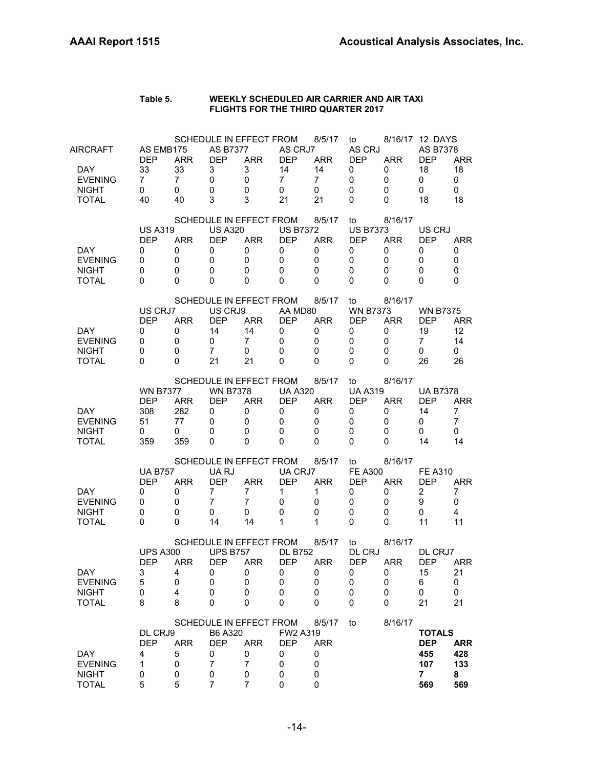#### **Table 5. WEEKLY SCHEDULED AIR CARRIER AND AIR TAXI FLIGHTS FOR THE THIRD QUARTER 2017**

| AIRCRAFT                     | AS EMB175<br><b>DEP</b> | <b>ARR</b>     | <b>AS B7377</b><br><b>DEP</b> | SCHEDULE IN EFFECT FROM<br><b>ARR</b> | AS CRJ7<br><b>DEP</b> | 8/5/17<br><b>ARR</b> | to<br>AS CRJ<br><b>DEP</b> | <b>ARR</b> | 8/16/17 12 DAYS<br>AS B7378<br><b>DEP</b> | <b>ARR</b> |
|------------------------------|-------------------------|----------------|-------------------------------|---------------------------------------|-----------------------|----------------------|----------------------------|------------|-------------------------------------------|------------|
| DAY.                         | 33                      | 33             | 3                             | 3                                     | 14                    | 14                   | 0                          | 0          | 18                                        | 18         |
| <b>EVENING</b>               | $\overline{7}$          | $\overline{7}$ | 0                             | 0                                     | $\overline{7}$        | 7                    | 0                          | 0          | 0                                         | 0          |
| <b>NIGHT</b>                 | 0                       | 0              | 0                             | 0                                     | 0                     | 0                    | 0                          | 0          | 0                                         | 0          |
| <b>TOTAL</b>                 | 40                      | 40             | 3                             | 3                                     | 21                    | 21                   | 0                          | 0          | 18                                        | 18         |
|                              |                         |                |                               | SCHEDULE IN EFFECT FROM               |                       | 8/5/17               | to                         | 8/16/17    |                                           |            |
|                              | <b>US A319</b>          |                | <b>US A320</b>                |                                       | <b>US B7372</b>       |                      | <b>US B7373</b>            |            | US CRJ                                    |            |
|                              | <b>DEP</b>              | <b>ARR</b>     | <b>DEP</b>                    | <b>ARR</b><br>0                       | <b>DEP</b>            | <b>ARR</b>           | <b>DEP</b>                 | <b>ARR</b> | <b>DEP</b>                                | <b>ARR</b> |
| DAY.<br><b>EVENING</b>       | 0<br>0                  | 0<br>0         | 0<br>0                        | 0                                     | 0<br>0                | 0<br>0               | 0<br>0                     | 0<br>0     | 0<br>0                                    | 0<br>0     |
| <b>NIGHT</b>                 | 0                       | 0              | 0                             | 0                                     | $\Omega$              | 0                    | 0                          | 0          | 0                                         | 0          |
| <b>TOTAL</b>                 | 0                       | 0              | 0                             | 0                                     | 0                     | 0                    | 0                          | 0          | 0                                         | 0          |
|                              |                         |                |                               | SCHEDULE IN EFFECT FROM               |                       | 8/5/17               | to                         | 8/16/17    |                                           |            |
|                              | US CRJ7                 |                | US CRJ9                       |                                       | AA MD80               |                      | <b>WN B7373</b>            |            | <b>WN B7375</b>                           |            |
|                              | <b>DEP</b>              | <b>ARR</b>     | <b>DEP</b>                    | <b>ARR</b>                            | <b>DEP</b>            | <b>ARR</b>           | <b>DEP</b>                 | <b>ARR</b> | <b>DEP</b>                                | <b>ARR</b> |
| DAY.                         | 0                       | 0              | 14                            | 14                                    | 0                     | 0                    | 0                          | 0          | 19                                        | 12         |
| <b>EVENING</b>               | 0                       | 0              | 0                             | $\overline{7}$                        | 0                     | 0                    | 0                          | 0          | 7                                         | 14         |
| <b>NIGHT</b>                 | 0                       | 0              | $\overline{7}$                | 0                                     | $\mathbf 0$           | $\mathbf 0$          | 0                          | 0          | 0                                         | 0          |
| <b>TOTAL</b>                 | 0                       | 0              | 21                            | 21                                    | 0                     | 0                    | 0                          | 0          | 26                                        | 26         |
|                              |                         |                |                               | SCHEDULE IN EFFECT FROM               |                       | 8/5/17               | to                         | 8/16/17    |                                           |            |
|                              | <b>WN B7377</b>         |                | <b>WN B7378</b>               |                                       | <b>UA A320</b>        |                      | <b>UA A319</b>             |            | <b>UA B7378</b>                           |            |
|                              | <b>DEP</b>              | ARR            | <b>DEP</b>                    | <b>ARR</b>                            | <b>DEP</b>            | <b>ARR</b>           | <b>DEP</b>                 | <b>ARR</b> | <b>DEP</b>                                | <b>ARR</b> |
| DAY.                         | 308                     | 282            | 0                             | 0                                     | 0                     | 0                    | 0                          | 0          | 14                                        | 7          |
| <b>EVENING</b>               | 51                      | 77             | 0                             | 0                                     | 0                     | 0                    | 0                          | 0          | 0                                         | 7          |
| <b>NIGHT</b>                 | 0                       | 0              | 0                             | 0                                     | 0                     | 0                    | 0                          | 0          | 0                                         | 0          |
| TOTAL                        | 359                     | 359            | 0                             | 0                                     | 0                     | 0                    | 0                          | 0          | 14                                        | 14         |
|                              |                         |                |                               | SCHEDULE IN EFFECT FROM               |                       | 8/5/17               | to                         | 8/16/17    |                                           |            |
|                              | <b>UA B757</b>          |                | UA RJ                         |                                       | UA CRJ7               |                      | <b>FE A300</b>             |            | <b>FE A310</b>                            |            |
|                              | <b>DEP</b>              | <b>ARR</b>     | <b>DEP</b>                    | <b>ARR</b>                            | <b>DEP</b>            | <b>ARR</b>           | <b>DEP</b>                 | <b>ARR</b> | <b>DEP</b>                                | <b>ARR</b> |
| DAY.                         | 0                       | 0              | 7                             | $\overline{7}$                        | 1                     | 1                    | 0                          | 0          | 2                                         | 7          |
| <b>EVENING</b>               | 0                       | 0              | $\overline{7}$                | $\overline{7}$                        | 0                     | 0                    | 0                          | 0          | 9                                         | 0          |
| <b>NIGHT</b><br><b>TOTAL</b> | 0<br>$\Omega$           | 0<br>0         | 0<br>14                       | 0<br>14                               | 0<br>1                | $\mathbf 0$<br>1     | 0<br>0                     | 0<br>0     | 0<br>11                                   | 4<br>11    |
|                              |                         |                |                               |                                       |                       |                      |                            |            |                                           |            |
|                              |                         |                |                               | SCHEDULE IN EFFECT FROM               |                       | 8/5/17               | to                         | 8/16/17    |                                           |            |
|                              | <b>UPS A300</b>         |                | <b>UPS B757</b>               |                                       | <b>DL B752</b>        |                      | DL CRJ                     |            | DL CRJ7                                   |            |
|                              | <b>DEP</b>              | <b>ARR</b>     | <b>DEP</b>                    | <b>ARR</b>                            | <b>DEP</b>            | <b>ARR</b>           | <b>DEP</b>                 | <b>ARR</b> | <b>DEP</b>                                | ARR        |
| DAY                          | 3                       | $\overline{4}$ | 0                             | 0                                     | 0                     | 0                    | 0                          | 0          | 15                                        | 21         |
| <b>EVENING</b>               | 5                       | 0              | 0                             | 0                                     | 0                     | 0                    | 0                          | 0          | 6                                         | 0          |
| <b>NIGHT</b><br><b>TOTAL</b> | 0<br>8                  | 4<br>8         | 0<br>0                        | 0<br>0                                | 0<br>0                | 0<br>0               | 0<br>0                     | 0<br>0     | 0<br>21                                   | 0<br>21    |
|                              |                         |                |                               |                                       |                       |                      |                            |            |                                           |            |
|                              |                         |                |                               | SCHEDULE IN EFFECT FROM               |                       | 8/5/17               | to                         | 8/16/17    |                                           |            |
|                              | DL CRJ9                 |                | B6 A320                       |                                       | FW2 A319              |                      |                            |            | <b>TOTALS</b>                             |            |
|                              | <b>DEP</b>              | <b>ARR</b>     | <b>DEP</b>                    | <b>ARR</b>                            | <b>DEP</b>            | <b>ARR</b>           |                            |            | <b>DEP</b>                                | <b>ARR</b> |
| DAY                          | 4                       | 5              | 0                             | 0                                     | 0                     | 0                    |                            |            | 455                                       | 428        |
| <b>EVENING</b>               | 1                       | 0              | 7                             | 7                                     | 0                     | 0                    |                            |            | 107                                       | 133        |
| <b>NIGHT</b>                 | 0                       | 0              | 0                             | 0                                     | 0                     | 0                    |                            |            | $\overline{7}$                            | 8          |
| <b>TOTAL</b>                 | 5                       | 5              | $\overline{7}$                | 7                                     | 0                     | 0                    |                            |            | 569                                       | 569        |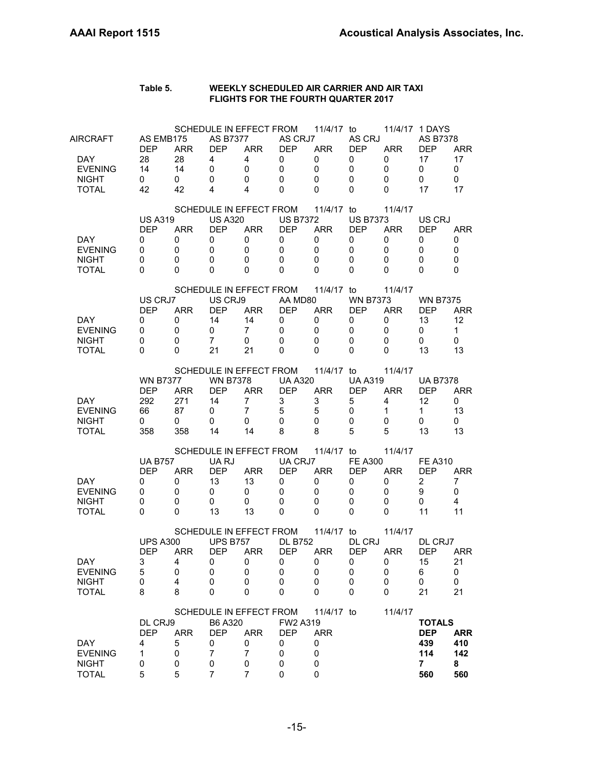#### **Table 5. WEEKLY SCHEDULED AIR CARRIER AND AIR TAXI FLIGHTS FOR THE FOURTH QUARTER 2017**

| AIRCRAFT                                               | AS EMB175<br><b>DEP</b>                                           | <b>ARR</b>                                           | <b>AS B7377</b><br><b>DEP</b>                          | SCHEDULE IN EFFECT FROM<br><b>ARR</b>                                                | AS CRJ7<br><b>DEP</b>                                      | 11/4/17 to<br><b>ARR</b>                                      | AS CRJ<br><b>DEP</b>                             | <b>ARR</b>                                | 11/4/17 1 DAYS<br>AS B7378<br><b>DEP</b>                           | <b>ARR</b>                                    |
|--------------------------------------------------------|-------------------------------------------------------------------|------------------------------------------------------|--------------------------------------------------------|--------------------------------------------------------------------------------------|------------------------------------------------------------|---------------------------------------------------------------|--------------------------------------------------|-------------------------------------------|--------------------------------------------------------------------|-----------------------------------------------|
| DAY.<br><b>EVENING</b><br><b>NIGHT</b><br><b>TOTAL</b> | 28<br>14<br>0<br>42                                               | 28<br>14<br>0<br>42                                  | 4<br>0<br>0<br>4                                       | 4<br>0<br>0<br>4                                                                     | 0<br>$\mathbf 0$<br>0<br>$\Omega$                          | 0<br>$\mathbf 0$<br>0<br>$\Omega$                             | 0<br>0<br>0<br>0                                 | 0<br>0<br>0<br>0                          | 17<br>0<br>0<br>17                                                 | 17<br>0<br>0<br>17                            |
|                                                        | <b>US A319</b>                                                    |                                                      | <b>US A320</b>                                         | SCHEDULE IN EFFECT FROM                                                              | <b>US B7372</b>                                            | 11/4/17 to                                                    | <b>US B7373</b>                                  | 11/4/17                                   | US CRJ                                                             |                                               |
| DAY.<br><b>EVENING</b><br><b>NIGHT</b>                 | <b>DEP</b><br>0<br>0<br>0                                         | <b>ARR</b><br>0<br>0<br>0                            | <b>DEP</b><br>0<br>0<br>$\mathbf 0$                    | <b>ARR</b><br>0<br>0<br>0                                                            | <b>DEP</b><br>$\mathbf 0$<br>$\mathbf 0$<br>$\mathbf{0}$   | <b>ARR</b><br>0<br>0<br>0                                     | <b>DEP</b><br>0<br>0<br>0                        | <b>ARR</b><br>0<br>0<br>0                 | <b>DEP</b><br>0<br>0<br>0                                          | <b>ARR</b><br>0<br>$\mathbf 0$<br>$\mathbf 0$ |
| <b>TOTAL</b>                                           | 0<br>US CRJ7                                                      | 0                                                    | 0<br>US CRJ9                                           | 0<br>SCHEDULE IN EFFECT FROM                                                         | 0<br>AA MD80                                               | $\Omega$<br>11/4/17 to                                        | 0<br><b>WN B7373</b>                             | 0<br>11/4/17                              | 0<br><b>WN B7375</b>                                               | 0                                             |
| DAY.<br><b>EVENING</b><br><b>NIGHT</b>                 | <b>DEP</b><br>0<br>0<br>0                                         | <b>ARR</b><br>0<br>0<br>0                            | <b>DEP</b><br>14<br>0<br>$\overline{7}$                | <b>ARR</b><br>14<br>$\overline{7}$<br>0                                              | <b>DEP</b><br>0<br>0<br>$\mathbf 0$                        | <b>ARR</b><br>0<br>0<br>$\mathbf 0$                           | <b>DEP</b><br>0<br>0<br>0                        | <b>ARR</b><br>0<br>0<br>0                 | <b>DEP</b><br>13<br>0<br>0                                         | <b>ARR</b><br>12<br>$\mathbf 1$<br>0          |
| <b>TOTAL</b>                                           | 0                                                                 | 0                                                    | 21                                                     | 21                                                                                   | $\Omega$                                                   | 0<br>11/4/17 to                                               | 0                                                | 0                                         | 13                                                                 | 13                                            |
| DAY.<br><b>EVENING</b><br><b>NIGHT</b><br>TOTAL        | <b>WN B7377</b><br><b>DEP</b><br>292<br>66<br>$\mathbf{0}$<br>358 | ARR.<br>271<br>87<br>0<br>358                        | <b>WN B7378</b><br><b>DEP</b><br>14<br>0<br>0<br>14    | SCHEDULE IN EFFECT FROM<br><b>ARR</b><br>$\overline{7}$<br>$\overline{7}$<br>0<br>14 | <b>UA A320</b><br><b>DEP</b><br>3<br>5<br>0<br>8           | <b>ARR</b><br>3<br>5<br>0<br>8                                | <b>UA A319</b><br><b>DEP</b><br>5<br>0<br>0<br>5 | 11/4/17<br><b>ARR</b><br>4<br>1<br>0<br>5 | <b>UA B7378</b><br><b>DEP</b><br>12<br>$\mathbf{1}$<br>0<br>13     | <b>ARR</b><br>0<br>13<br>0<br>13              |
| DAY.<br><b>EVENING</b><br><b>NIGHT</b><br><b>TOTAL</b> | <b>UA B757</b><br><b>DEP</b><br>0<br>0<br>0<br>$\Omega$           | <b>ARR</b><br>0<br>0<br>$\mathbf 0$<br>0             | UA RJ<br><b>DEP</b><br>13<br>0<br>0<br>13              | SCHEDULE IN EFFECT FROM<br><b>ARR</b><br>13<br>0<br>0<br>13                          | UA CRJ7<br><b>DEP</b><br>0<br>0<br>$\mathbf 0$<br>$\Omega$ | 11/4/17 to<br><b>ARR</b><br>0<br>0<br>$\mathbf 0$<br>$\Omega$ | <b>FE A300</b><br><b>DEP</b><br>0<br>0<br>0<br>0 | 11/4/17<br><b>ARR</b><br>0<br>0<br>0<br>0 | <b>FE A310</b><br><b>DEP</b><br>2<br>9<br>0<br>11                  | <b>ARR</b><br>7<br>0<br>4<br>11               |
| DAY<br><b>EVENING</b><br><b>NIGHT</b><br><b>TOTAL</b>  | <b>UPS A300</b><br><b>DEP</b><br>3<br>5<br>0<br>8                 | <b>ARR</b><br>$\overline{\mathbf{4}}$<br>0<br>4<br>8 | <b>UPS B757</b><br><b>DEP</b><br>0<br>0<br>0<br>0      | SCHEDULE IN EFFECT FROM<br><b>ARR</b><br>$\mathbf 0$<br>0<br>0<br>0                  | <b>DL B752</b><br><b>DEP</b><br>$\mathbf 0$<br>0<br>0<br>0 | 11/4/17 to<br><b>ARR</b><br>0<br>0<br>0<br>0                  | DL CRJ<br><b>DEP</b><br>0<br>0<br>0<br>0         | 11/4/17<br><b>ARR</b><br>0<br>0<br>0<br>0 | DL CRJ7<br><b>DEP</b><br>15<br>6<br>0<br>21                        | ARR<br>21<br>0<br>0<br>21                     |
| DAY<br><b>EVENING</b><br><b>NIGHT</b><br><b>TOTAL</b>  | DL CRJ9<br><b>DEP</b><br>4<br>1<br>0<br>5                         | <b>ARR</b><br>5<br>0<br>0<br>5                       | B6 A320<br><b>DEP</b><br>0<br>$\overline{7}$<br>0<br>7 | SCHEDULE IN EFFECT FROM<br><b>ARR</b><br>0<br>$\overline{7}$<br>0<br>7               | FW2 A319<br><b>DEP</b><br>0<br>0<br>0<br>0                 | 11/4/17 to<br><b>ARR</b><br>0<br>0<br>0<br>$\mathbf 0$        |                                                  | 11/4/17                                   | <b>TOTALS</b><br><b>DEP</b><br>439<br>114<br>$\overline{7}$<br>560 | <b>ARR</b><br>410<br>142<br>8<br>560          |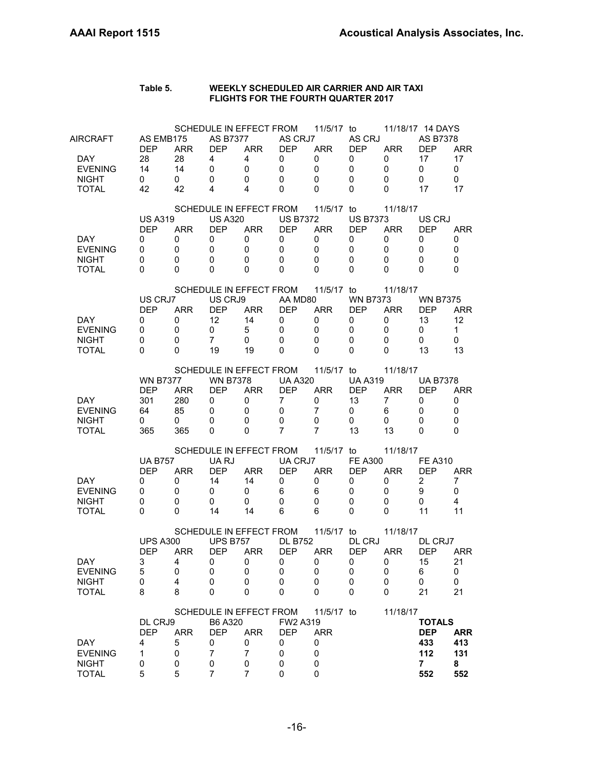#### **Table 5. WEEKLY SCHEDULED AIR CARRIER AND AIR TAXI FLIGHTS FOR THE FOURTH QUARTER 2017**

| AIRCRAFT                               | AS EMB175                     |                             | <b>AS B7377</b>                     | SCHEDULE IN EFFECT FROM   | AS CRJ7                                    | 11/5/17 to                          | AS CRJ                              |                           | 11/18/17 14 DAYS<br>AS B7378  |                                      |
|----------------------------------------|-------------------------------|-----------------------------|-------------------------------------|---------------------------|--------------------------------------------|-------------------------------------|-------------------------------------|---------------------------|-------------------------------|--------------------------------------|
| DAY.<br><b>EVENING</b><br><b>NIGHT</b> | <b>DEP</b><br>28<br>14<br>0   | <b>ARR</b><br>28<br>14<br>0 | <b>DEP</b><br>4<br>$\mathbf 0$<br>0 | <b>ARR</b><br>4<br>0<br>0 | <b>DEP</b><br>0<br>$\mathbf 0$<br>$\Omega$ | <b>ARR</b><br>0<br>$\mathbf 0$<br>0 | <b>DEP</b><br>0<br>$\mathbf 0$<br>0 | <b>ARR</b><br>0<br>0<br>0 | <b>DEP</b><br>17<br>0<br>0    | <b>ARR</b><br>17<br>$\mathbf 0$<br>0 |
| <b>TOTAL</b>                           | 42                            | 42                          | 4                                   | 4                         | $\Omega$                                   | $\Omega$                            | 0                                   | 0                         | 17                            | 17                                   |
|                                        |                               |                             |                                     | SCHEDULE IN EFFECT FROM   |                                            | 11/5/17 to                          |                                     | 11/18/17                  |                               |                                      |
|                                        | <b>US A319</b><br><b>DEP</b>  | <b>ARR</b>                  | <b>US A320</b><br><b>DEP</b>        | <b>ARR</b>                | <b>US B7372</b><br><b>DEP</b>              | <b>ARR</b>                          | <b>US B7373</b><br><b>DEP</b>       | <b>ARR</b>                | US CRJ<br>DEP                 | <b>ARR</b>                           |
| DAY.<br><b>EVENING</b>                 | 0<br>0                        | 0<br>0                      | 0<br>0                              | 0<br>0                    | 0<br>$\mathbf 0$                           | 0<br>$\mathbf 0$                    | 0<br>0                              | 0<br>0                    | 0<br>0                        | 0<br>$\mathbf 0$                     |
| <b>NIGHT</b>                           | $\mathbf 0$                   | 0                           | $\mathbf 0$                         | 0                         | $\mathbf{0}$                               | 0                                   | 0                                   | 0                         | 0                             | $\mathbf 0$                          |
| <b>TOTAL</b>                           | $\Omega$                      | 0                           | 0                                   | 0                         | $\Omega$                                   | $\Omega$                            | 0                                   | 0                         | 0                             | 0                                    |
|                                        |                               |                             |                                     | SCHEDULE IN EFFECT FROM   |                                            | 11/5/17 to                          |                                     | 11/18/17                  |                               |                                      |
|                                        | US CRJ7<br><b>DEP</b>         | <b>ARR</b>                  | US CRJ9<br><b>DEP</b>               | <b>ARR</b>                | AA MD80<br><b>DEP</b>                      | <b>ARR</b>                          | <b>WN B7373</b><br><b>DEP</b>       | <b>ARR</b>                | <b>WN B7375</b><br><b>DEP</b> | <b>ARR</b>                           |
| DAY.                                   | 0                             | 0                           | 12                                  | 14                        | 0                                          | 0                                   | 0                                   | 0                         | 13                            | 12                                   |
| <b>EVENING</b>                         | 0                             | 0                           | 0                                   | 5                         | $\mathbf 0$                                | 0                                   | 0                                   | 0                         | 0                             | $\mathbf 1$                          |
| <b>NIGHT</b><br><b>TOTAL</b>           | $\mathbf 0$<br>0              | 0<br>0                      | $\overline{7}$<br>19                | 0<br>19                   | $\mathbf 0$<br>$\Omega$                    | 0<br>$\Omega$                       | 0<br>0                              | 0<br>0                    | 0<br>13                       | $\mathbf 0$<br>13                    |
|                                        |                               |                             |                                     | SCHEDULE IN EFFECT FROM   |                                            | 11/5/17 to                          |                                     | 11/18/17                  |                               |                                      |
|                                        | <b>WN B7377</b>               |                             | <b>WN B7378</b>                     |                           | <b>UA A320</b>                             |                                     | <b>UA A319</b>                      |                           | <b>UA B7378</b>               |                                      |
|                                        | <b>DEP</b>                    | <b>ARR</b>                  | <b>DEP</b>                          | <b>ARR</b>                | <b>DEP</b>                                 | <b>ARR</b>                          | <b>DEP</b>                          | <b>ARR</b>                | DEP                           | ARR                                  |
| DAY.<br><b>EVENING</b>                 | 301<br>64                     | 280<br>85                   | 0<br>0                              | 0<br>0                    | 7<br>$\mathbf 0$                           | 0<br>7                              | 13<br>0                             | 7                         | 0<br>0                        | 0<br>0                               |
| <b>NIGHT</b>                           | $\Omega$                      | 0                           | 0                                   | 0                         | $\mathbf 0$                                | 0                                   | 0                                   | 6<br>0                    | 0                             | $\mathbf 0$                          |
| TOTAL                                  | 365                           | 365                         | 0                                   | 0                         | $\overline{7}$                             | 7                                   | 13                                  | 13                        | 0                             | $\Omega$                             |
|                                        |                               |                             |                                     | SCHEDULE IN EFFECT FROM   |                                            | 11/5/17 to                          |                                     | 11/18/17                  |                               |                                      |
|                                        | <b>UA B757</b>                |                             | UA RJ                               |                           | UA CRJ7                                    |                                     | <b>FE A300</b>                      |                           | <b>FE A310</b>                |                                      |
| DAY.                                   | <b>DEP</b><br>0               | <b>ARR</b><br>0             | <b>DEP</b><br>14                    | <b>ARR</b><br>14          | <b>DEP</b><br>0                            | <b>ARR</b><br>0                     | <b>DEP</b><br>0                     | <b>ARR</b><br>0           | <b>DEP</b><br>$\overline{2}$  | <b>ARR</b><br>7                      |
| <b>EVENING</b>                         | 0                             | 0                           | 0                                   | 0                         | 6                                          | 6                                   | 0                                   | 0                         | 9                             | $\Omega$                             |
| <b>NIGHT</b>                           | $\mathbf 0$                   | $\mathbf 0$                 | 0                                   | 0                         | $\mathbf 0$                                | $\mathbf 0$                         | 0                                   | 0                         | 0                             | 4                                    |
| <b>TOTAL</b>                           | $\Omega$                      | $\Omega$                    | 14                                  | 14                        | 6                                          | 6                                   | $\Omega$                            | 0                         | 11                            | 11                                   |
|                                        |                               |                             |                                     | SCHEDULE IN EFFECT FROM   |                                            | 11/5/17 to                          |                                     | 11/18/17                  |                               |                                      |
|                                        | <b>UPS A300</b><br><b>DEP</b> | <b>ARR</b>                  | <b>UPS B757</b><br><b>DEP</b>       | <b>ARR</b>                | <b>DL B752</b><br><b>DEP</b>               | <b>ARR</b>                          | DL CRJ<br><b>DEP</b>                | <b>ARR</b>                | DL CRJ7<br><b>DEP</b>         | ARR                                  |
| DAY                                    | 3                             | $\overline{4}$              | 0                                   | $\overline{\mathbf{0}}$   | $\mathbf 0$                                | 0                                   | $\mathbf 0$                         | $\mathbf{0}$              | 15                            | 21                                   |
| <b>EVENING</b>                         | 5                             | 0                           | 0                                   | 0                         | 0                                          | 0                                   | 0                                   | 0                         | 6                             | 0                                    |
| <b>NIGHT</b><br><b>TOTAL</b>           | 0<br>8                        | 4<br>8                      | 0<br>0                              | 0<br>0                    | 0<br>0                                     | 0<br>0                              | 0<br>0                              | 0<br>0                    | 0<br>21                       | 0<br>21                              |
|                                        |                               |                             |                                     |                           |                                            |                                     |                                     |                           |                               |                                      |
|                                        | DL CRJ9                       |                             | B6 A320                             | SCHEDULE IN EFFECT FROM   | FW2 A319                                   | 11/5/17 to                          |                                     | 11/18/17                  | <b>TOTALS</b>                 |                                      |
|                                        | <b>DEP</b>                    | <b>ARR</b>                  | <b>DEP</b>                          | <b>ARR</b>                | <b>DEP</b>                                 | <b>ARR</b>                          |                                     |                           | <b>DEP</b>                    | <b>ARR</b>                           |
| DAY                                    | 4                             | 5                           | 0                                   | 0                         | 0                                          | 0                                   |                                     |                           | 433                           | 413                                  |
| <b>EVENING</b><br><b>NIGHT</b>         | 1<br>0                        | 0<br>0                      | $\overline{7}$<br>0                 | $\overline{7}$<br>0       | 0<br>0                                     | 0<br>0                              |                                     |                           | 112<br>$\overline{7}$         | 131<br>8                             |
| <b>TOTAL</b>                           | 5                             | 5                           | 7                                   | 7                         | 0                                          | $\mathbf 0$                         |                                     |                           | 552                           | 552                                  |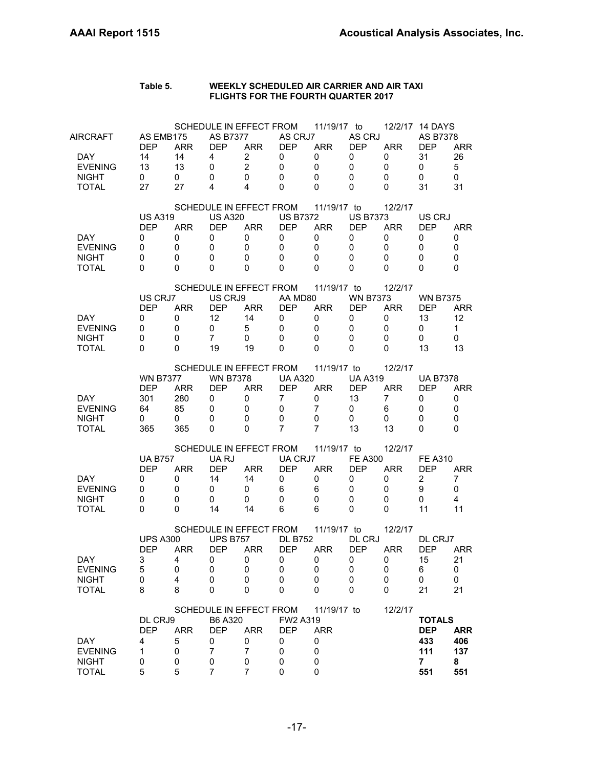#### **Table 5. WEEKLY SCHEDULED AIR CARRIER AND AIR TAXI FLIGHTS FOR THE FOURTH QUARTER 2017**

| AIRCRAFT                     | AS EMB175        |                              | AS B7377        | SCHEDULE IN EFFECT FROM               | AS CRJ7                   | 11/19/17 to      | AS CRJ                     |                            | 12/2/17 14 DAYS<br>AS B7378 |                   |
|------------------------------|------------------|------------------------------|-----------------|---------------------------------------|---------------------------|------------------|----------------------------|----------------------------|-----------------------------|-------------------|
| DAY.                         | <b>DEP</b><br>14 | <b>ARR</b><br>14             | <b>DEP</b><br>4 | <b>ARR</b><br>$\overline{2}$          | <b>DEP</b><br>0           | <b>ARR</b><br>0  | <b>DEP</b><br>0            | <b>ARR</b><br>0            | <b>DEP</b><br>31            | <b>ARR</b><br>26  |
| <b>EVENING</b>               | 13               | 13                           | 0               | $\overline{2}$                        | $\mathbf 0$               | $\mathbf 0$      | $\mathbf 0$                | 0                          | 0                           | 5                 |
| <b>NIGHT</b>                 | 0                | 0                            | 0               | 0                                     | $\mathbf{0}$              | 0                | $\mathbf 0$                | 0                          | 0                           | 0                 |
| <b>TOTAL</b>                 | 27               | 27                           | 4               | 4                                     | $\mathbf{0}$              | 0                | 0                          | 0                          | 31                          | 31                |
|                              |                  |                              |                 |                                       |                           |                  |                            |                            |                             |                   |
|                              | <b>US A319</b>   |                              | <b>US A320</b>  | SCHEDULE IN EFFECT FROM               | <b>US B7372</b>           | 11/19/17 to      | <b>US B7373</b>            | 12/2/17                    | US CRJ                      |                   |
|                              | <b>DEP</b>       | <b>ARR</b>                   | <b>DEP</b>      | <b>ARR</b>                            | <b>DEP</b>                | <b>ARR</b>       | <b>DEP</b>                 | <b>ARR</b>                 | <b>DEP</b>                  | <b>ARR</b>        |
| <b>DAY</b>                   | 0                | 0                            | 0               | $\mathbf 0$                           | $\mathbf 0$               | $\mathbf 0$      | 0                          | 0                          | 0                           | 0                 |
| <b>EVENING</b>               | 0                | 0                            | $\mathbf 0$     | 0                                     | $\mathbf 0$               | $\mathbf 0$      | $\mathbf 0$                | 0                          | 0                           | 0                 |
| <b>NIGHT</b>                 | 0                | 0                            | $\mathbf 0$     | 0                                     | $\mathbf{0}$              | 0                | 0                          | 0                          | 0                           | $\mathbf 0$       |
| <b>TOTAL</b>                 | 0                | 0                            | 0               | 0                                     | 0                         | $\mathbf{0}$     | $\Omega$                   | 0                          | $\Omega$                    | $\Omega$          |
|                              |                  |                              |                 | SCHEDULE IN EFFECT FROM               |                           | 11/19/17 to      |                            | 12/2/17                    |                             |                   |
|                              | US CRJ7          |                              | US CRJ9         |                                       | AA MD80                   |                  | <b>WN B7373</b>            |                            | <b>WN B7375</b>             |                   |
|                              | <b>DEP</b>       | <b>ARR</b>                   | <b>DEP</b>      | <b>ARR</b>                            | <b>DEP</b>                | ARR              | <b>DEP</b>                 | <b>ARR</b>                 | <b>DEP</b>                  | <b>ARR</b>        |
| DAY.                         | 0                | 0                            | 12              | 14                                    | 0                         | 0                | 0                          | 0                          | 13                          | 12                |
| <b>EVENING</b>               | 0                | 0                            | 0               | 5                                     | $\mathbf 0$               | 0                | 0                          | 0                          | 0                           | $\mathbf{1}$      |
| <b>NIGHT</b>                 | 0                | 0                            | $\overline{7}$  | 0                                     | $\mathbf 0$               | $\mathbf 0$      | 0                          | 0                          | 0                           | 0                 |
| <b>TOTAL</b>                 | 0                | 0                            | 19              | 19                                    | 0                         | 0                | 0                          | 0                          | 13                          | 13                |
|                              |                  |                              |                 | SCHEDULE IN EFFECT FROM               |                           | 11/19/17 to      |                            | 12/2/17                    |                             |                   |
|                              | <b>WN B7377</b>  |                              | <b>WN B7378</b> |                                       | <b>UA A320</b>            |                  | <b>UA A319</b>             |                            | <b>UA B7378</b>             |                   |
|                              | <b>DEP</b>       | <b>ARR</b>                   | <b>DEP</b>      | <b>ARR</b>                            | <b>DEP</b>                | <b>ARR</b>       | <b>DEP</b>                 | <b>ARR</b>                 | <b>DEP</b>                  | <b>ARR</b>        |
| DAY.                         | 301              | 280                          | 0               | 0                                     | $\overline{7}$            | 0                | 13                         | 7                          | 0                           | 0                 |
| <b>EVENING</b>               | 64               | 85                           | 0               | 0                                     | 0                         | 7                | 0                          | 6                          | 0                           | 0                 |
| <b>NIGHT</b>                 | 0                | 0                            | 0               | 0                                     | 0                         | $\mathbf 0$      | 0                          | 0                          | 0                           | 0                 |
| TOTAL                        | 365              | 365                          | 0               | 0                                     | $\overline{7}$            | $\overline{7}$   | 13                         | 13                         | 0                           | $\Omega$          |
|                              |                  |                              |                 | SCHEDULE IN EFFECT FROM               |                           | 11/19/17 to      |                            | 12/2/17                    |                             |                   |
|                              | <b>UA B757</b>   |                              | UA RJ           |                                       | UA CRJ7                   |                  | <b>FE A300</b>             |                            | <b>FE A310</b>              |                   |
|                              | <b>DEP</b>       | <b>ARR</b>                   | <b>DEP</b>      | <b>ARR</b>                            | <b>DEP</b>                | <b>ARR</b>       | DEP                        | <b>ARR</b>                 | <b>DEP</b>                  | <b>ARR</b>        |
| DAY.                         | 0                | 0                            | 14              | 14                                    | 0                         | 0                | 0                          | 0                          | $\overline{2}$              | 7                 |
| <b>EVENING</b>               | 0<br>0           | 0                            | 0<br>0          | 0<br>0                                | 6<br>$\mathbf 0$          | 6<br>$\mathbf 0$ | 0<br>$\mathbf 0$           | 0<br>0                     | 9                           | 0<br>4            |
| <b>NIGHT</b><br><b>TOTAL</b> | $\Omega$         | 0<br>$\Omega$                | 14              | 14                                    | 6                         | 6                | 0                          | $\Omega$                   | 0<br>11                     | 11                |
|                              |                  |                              |                 |                                       |                           |                  |                            |                            |                             |                   |
|                              |                  |                              |                 | SCHEDULE IN EFFECT FROM               |                           | 11/19/17 to      |                            | 12/2/17                    |                             |                   |
|                              | <b>UPS A300</b>  |                              | <b>UPS B757</b> |                                       | <b>DL B752</b>            |                  | DL CRJ                     |                            | DL CRJ7                     |                   |
| DAY                          | DEP<br>3         | <b>ARR</b><br>$\overline{4}$ | <b>DEP</b><br>0 | <b>ARR</b><br>$\overline{\mathbf{0}}$ | <b>DEP</b><br>$\mathbf 0$ | <b>ARR</b><br>0  | <b>DEP</b><br>$\mathbf{0}$ | <b>ARR</b><br>$\mathbf{0}$ | <b>DEP</b><br>15            | ARR<br>21         |
| <b>EVENING</b>               | 5                | 0                            | 0               | 0                                     | 0                         | 0                | 0                          | 0                          | 6                           | 0                 |
| <b>NIGHT</b>                 | 0                | 4                            | 0               | 0                                     | 0                         | 0                | 0                          | 0                          | 0                           | 0                 |
| <b>TOTAL</b>                 | 8                | 8                            | 0               | 0                                     | 0                         | 0                | 0                          | 0                          | 21                          | 21                |
|                              |                  |                              |                 |                                       |                           |                  |                            |                            |                             |                   |
|                              |                  |                              |                 | SCHEDULE IN EFFECT FROM               |                           | 11/19/17 to      |                            | 12/2/17                    |                             |                   |
|                              | DL CRJ9          |                              | B6 A320         |                                       | FW2 A319                  |                  |                            |                            | <b>TOTALS</b>               |                   |
| DAY                          | <b>DEP</b><br>4  | <b>ARR</b><br>5              | <b>DEP</b><br>0 | <b>ARR</b><br>0                       | <b>DEP</b><br>0           | <b>ARR</b><br>0  |                            |                            | <b>DEP</b><br>433           | <b>ARR</b><br>406 |
| <b>EVENING</b>               | 1                | 0                            | 7               | $\overline{7}$                        | 0                         | 0                |                            |                            | 111                         | 137               |
| <b>NIGHT</b>                 | 0                | 0                            | 0               | 0                                     | 0                         | 0                |                            |                            | $\overline{7}$              | 8                 |
| <b>TOTAL</b>                 | 5                | 5                            | 7               | $\overline{7}$                        | 0                         | 0                |                            |                            | 551                         | 551               |
|                              |                  |                              |                 |                                       |                           |                  |                            |                            |                             |                   |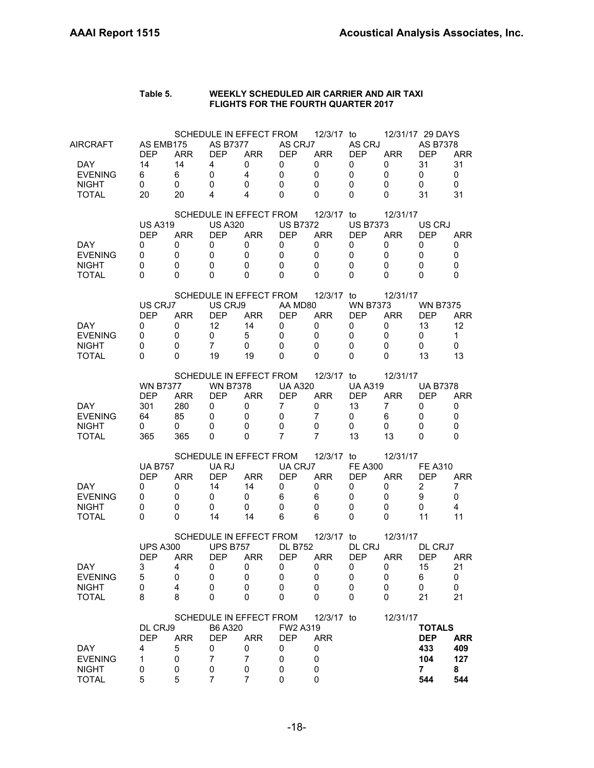| Table 5. | WEEKLY SCHEDULED AIR CARRIER AND AIR TAXI  |
|----------|--------------------------------------------|
|          | <b>FLIGHTS FOR THE FOURTH QUARTER 2017</b> |

| AIRCRAFT                       | AS EMB175<br><b>DEP</b> | <b>ARR</b>      | <b>AS B7377</b><br><b>DEP</b> | SCHEDULE IN EFFECT FROM<br><b>ARR</b> | AS CRJ7<br><b>DEP</b>         | 12/3/17 to<br><b>ARR</b> | AS CRJ<br><b>DEP</b> | <b>ARR</b>      | 12/31/17 29 DAYS<br>AS B7378<br><b>DEP</b> | <b>ARR</b>              |
|--------------------------------|-------------------------|-----------------|-------------------------------|---------------------------------------|-------------------------------|--------------------------|----------------------|-----------------|--------------------------------------------|-------------------------|
| DAY.<br><b>EVENING</b>         | 14<br>6                 | 14<br>6         | 4<br>$\mathbf 0$              | 0<br>4                                | 0<br>$\mathbf 0$              | 0<br>$\mathbf 0$         | 0<br>$\mathbf 0$     | 0<br>0          | 31<br>0                                    | 31<br>$\mathbf 0$       |
| <b>NIGHT</b><br><b>TOTAL</b>   | 0<br>20                 | 0<br>20         | 0<br>4                        | 0<br>4                                | 0<br>$\Omega$                 | $\Omega$<br>$\Omega$     | 0<br>$\Omega$        | 0<br>0          | 0<br>31                                    | $\mathbf 0$<br>31       |
|                                | <b>US A319</b>          |                 | <b>US A320</b>                | SCHEDULE IN EFFECT FROM               | <b>US B7372</b>               | 12/3/17 to               | <b>US B7373</b>      | 12/31/17        | US CRJ                                     |                         |
| DAY.                           | <b>DEP</b><br>0         | <b>ARR</b><br>0 | <b>DEP</b><br>0               | <b>ARR</b><br>0                       | <b>DEP</b><br>0               | <b>ARR</b><br>0          | <b>DEP</b><br>0      | <b>ARR</b><br>0 | <b>DFP</b><br>0                            | ARR<br>0                |
| <b>EVENING</b>                 | 0                       | 0               | 0                             | 0                                     | $\mathbf 0$                   | $\mathbf 0$              | 0                    | 0               | 0                                          | 0                       |
| <b>NIGHT</b><br><b>TOTAL</b>   | 0<br>0                  | 0<br>0          | 0<br>0                        | 0<br>0                                | $\Omega$<br>$\Omega$          | 0<br>$\Omega$            | 0<br>0               | 0<br>0          | 0<br>0                                     | 0<br>0                  |
|                                |                         |                 |                               | SCHEDULE IN EFFECT FROM               |                               | 12/3/17 to               |                      | 12/31/17        |                                            |                         |
|                                | US CRJ7                 |                 | US CRJ9                       |                                       | AA MD80                       |                          | <b>WN B7373</b>      |                 | <b>WN B7375</b>                            |                         |
| DAY.                           | <b>DEP</b><br>0         | <b>ARR</b><br>0 | <b>DEP</b><br>12              | <b>ARR</b><br>14                      | <b>DEP</b><br>$\mathbf 0$     | <b>ARR</b><br>0          | <b>DEP</b><br>0      | <b>ARR</b><br>0 | DEP<br>13                                  | <b>ARR</b><br>12        |
| <b>EVENING</b>                 | 0                       | 0               | 0                             | 5                                     | 0                             | 0                        | 0                    | 0               | 0                                          | $\mathbf{1}$            |
| <b>NIGHT</b>                   | 0                       | 0               | $\overline{7}$                | 0                                     | $\mathbf{0}$                  | 0                        | 0                    | 0               | 0                                          | 0                       |
| <b>TOTAL</b>                   | 0                       | 0               | 19                            | 19                                    | $\Omega$                      | $\Omega$                 | 0                    | 0               | 13                                         | 13                      |
|                                | <b>WN B7377</b>         |                 | <b>WN B7378</b>               | SCHEDULE IN EFFECT FROM               | <b>UA A320</b>                | 12/3/17 to               | <b>UA A319</b>       | 12/31/17        | <b>UA B7378</b>                            |                         |
|                                | <b>DEP</b>              | <b>ARR</b>      | <b>DEP</b>                    | <b>ARR</b>                            | <b>DEP</b>                    | <b>ARR</b>               | <b>DEP</b>           | <b>ARR</b>      | <b>DEP</b>                                 | <b>ARR</b>              |
| DAY.                           | 301                     | 280             | 0                             | 0                                     | 7                             | 0                        | 13                   | 7               | 0                                          | 0                       |
| <b>EVENING</b>                 | 64                      | 85              | 0                             | 0                                     | 0                             | 7                        | 0                    | 6               | 0                                          | 0                       |
| <b>NIGHT</b><br><b>TOTAL</b>   | 0<br>365                | 0<br>365        | 0<br>0                        | 0<br>0                                | $\mathbf 0$<br>$\overline{7}$ | 0<br>$\overline{7}$      | 0<br>13              | 0<br>13         | 0<br>0                                     | $\mathbf 0$<br>$\Omega$ |
|                                |                         |                 |                               |                                       |                               |                          |                      |                 |                                            |                         |
|                                | <b>UA B757</b>          |                 | UA RJ                         | SCHEDULE IN EFFECT FROM               | UA CRJ7                       | 12/3/17 to               | <b>FE A300</b>       | 12/31/17        | <b>FE A310</b>                             |                         |
|                                | <b>DEP</b>              | <b>ARR</b>      | <b>DEP</b>                    | <b>ARR</b>                            | <b>DEP</b>                    | <b>ARR</b>               | <b>DEP</b>           | <b>ARR</b>      | <b>DEP</b>                                 | <b>ARR</b>              |
| DAY.                           | 0                       | 0               | 14                            | 14                                    | 0                             | 0                        | 0                    | 0               | $\overline{2}$                             | 7                       |
| <b>EVENING</b><br><b>NIGHT</b> | 0<br>0                  | 0<br>0          | 0<br>0                        | 0<br>0                                | 6<br>0                        | 6<br>0                   | 0<br>0               | 0<br>0          | 9<br>0                                     | 0<br>4                  |
| <b>TOTAL</b>                   | 0                       | 0               | 14                            | 14                                    | 6                             | 6                        | 0                    | 0               | 11                                         | 11                      |
|                                |                         |                 |                               | SCHEDULE IN EFFECT FROM               |                               | 12/3/17 to               |                      | 12/31/17        |                                            |                         |
|                                | <b>UPS A300</b>         |                 | <b>UPS B757</b>               |                                       | <b>DL B752</b>                |                          | DL CRJ               |                 | DL CRJ7                                    |                         |
| DAY                            | <b>DEP</b>              | <b>ARR</b>      | <b>DEP</b>                    | <b>ARR</b>                            | <b>DEP</b>                    | <b>ARR</b>               | <b>DEP</b>           | <b>ARR</b>      | DEP                                        | <b>ARR</b>              |
| <b>EVENING</b>                 | 3<br>5                  | 4<br>0          | U<br>0                        | U<br>0                                | U<br>0                        | U<br>0                   | U<br>0               | U<br>0          | 15<br>6                                    | 21<br>0                 |
| <b>NIGHT</b>                   | 0                       | $\overline{4}$  | 0                             | 0                                     | 0                             | 0                        | 0                    | 0               | 0                                          | 0                       |
| <b>TOTAL</b>                   | 8                       | 8               | 0                             | 0                                     | 0                             | 0                        | 0                    | 0               | 21                                         | 21                      |
|                                |                         |                 |                               | SCHEDULE IN EFFECT FROM               |                               | 12/3/17 to               |                      | 12/31/17        |                                            |                         |
|                                | DL CRJ9                 |                 | B6 A320                       |                                       | FW2 A319                      |                          |                      |                 | <b>TOTALS</b>                              |                         |
| DAY                            | <b>DEP</b><br>4         | <b>ARR</b><br>5 | <b>DEP</b><br>0               | <b>ARR</b><br>0                       | <b>DEP</b><br>0               | <b>ARR</b><br>0          |                      |                 | <b>DEP</b><br>433                          | <b>ARR</b><br>409       |
| <b>EVENING</b>                 | 1                       | 0               | 7                             | $\overline{7}$                        | 0                             | 0                        |                      |                 | 104                                        | 127                     |
| <b>NIGHT</b>                   | 0                       | 0               | 0                             | 0                                     | 0                             | 0                        |                      |                 | $\overline{7}$                             | 8                       |
| <b>TOTAL</b>                   | 5                       | 5               | 7                             | 7                                     | 0                             | 0                        |                      |                 | 544                                        | 544                     |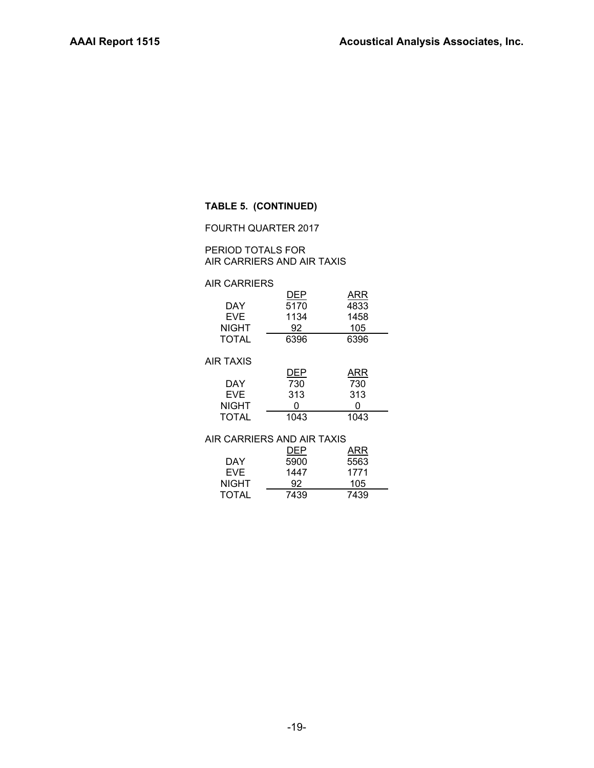## **TABLE 5. (CONTINUED)**

FOURTH QUARTER 2017

PERIOD TOTALS FOR AIR CARRIERS AND AIR TAXIS

## AIR CARRIERS

|              | DEP  | ARR  |
|--------------|------|------|
| DAY          | 5170 | 4833 |
| EVE.         | 1134 | 1458 |
| <b>NIGHT</b> | 92   | 105  |
| TOTAL        | 6396 | 6396 |

#### AIR TAXIS

|              | DEP  | ARR  |
|--------------|------|------|
| DAY          | 730  | 730  |
| <b>EVF</b>   | 313  | 313  |
| <b>NIGHT</b> |      |      |
| <b>TOTAL</b> | 1043 | 1043 |

| AIR CARRIERS AND AIR TAXIS |      |      |  |  |  |  |  |
|----------------------------|------|------|--|--|--|--|--|
|                            | DEP  | ARR  |  |  |  |  |  |
| DAY                        | 5900 | 5563 |  |  |  |  |  |
| EVE.                       | 1447 | 1771 |  |  |  |  |  |
| <b>NIGHT</b>               | 92   | 105  |  |  |  |  |  |
| <b>TOTAL</b>               | 7439 | 7439 |  |  |  |  |  |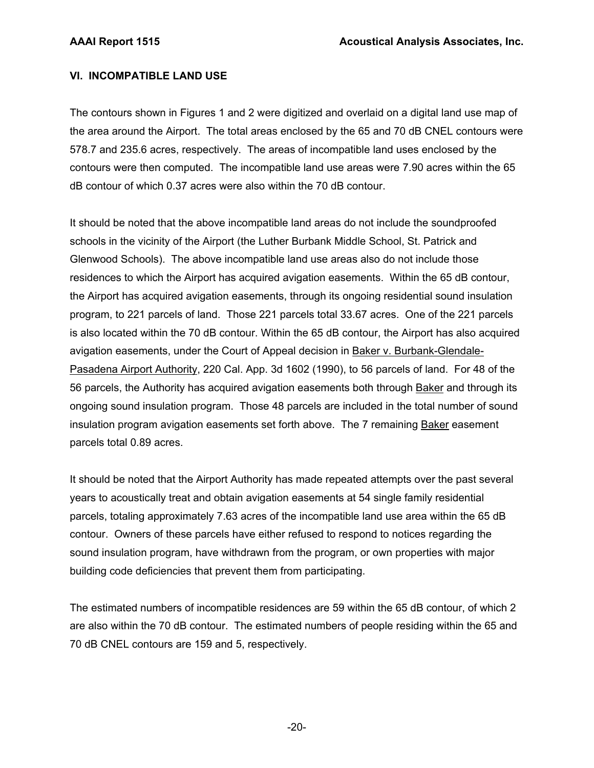## **VI. INCOMPATIBLE LAND USE**

The contours shown in Figures 1 and 2 were digitized and overlaid on a digital land use map of the area around the Airport. The total areas enclosed by the 65 and 70 dB CNEL contours were 578.7 and 235.6 acres, respectively. The areas of incompatible land uses enclosed by the contours were then computed. The incompatible land use areas were 7.90 acres within the 65 dB contour of which 0.37 acres were also within the 70 dB contour.

It should be noted that the above incompatible land areas do not include the soundproofed schools in the vicinity of the Airport (the Luther Burbank Middle School, St. Patrick and Glenwood Schools). The above incompatible land use areas also do not include those residences to which the Airport has acquired avigation easements. Within the 65 dB contour, the Airport has acquired avigation easements, through its ongoing residential sound insulation program, to 221 parcels of land. Those 221 parcels total 33.67 acres. One of the 221 parcels is also located within the 70 dB contour. Within the 65 dB contour, the Airport has also acquired avigation easements, under the Court of Appeal decision in Baker v. Burbank-Glendale-Pasadena Airport Authority, 220 Cal. App. 3d 1602 (1990), to 56 parcels of land. For 48 of the 56 parcels, the Authority has acquired avigation easements both through Baker and through its ongoing sound insulation program. Those 48 parcels are included in the total number of sound insulation program avigation easements set forth above. The 7 remaining Baker easement parcels total 0.89 acres.

It should be noted that the Airport Authority has made repeated attempts over the past several years to acoustically treat and obtain avigation easements at 54 single family residential parcels, totaling approximately 7.63 acres of the incompatible land use area within the 65 dB contour. Owners of these parcels have either refused to respond to notices regarding the sound insulation program, have withdrawn from the program, or own properties with major building code deficiencies that prevent them from participating.

The estimated numbers of incompatible residences are 59 within the 65 dB contour, of which 2 are also within the 70 dB contour. The estimated numbers of people residing within the 65 and 70 dB CNEL contours are 159 and 5, respectively.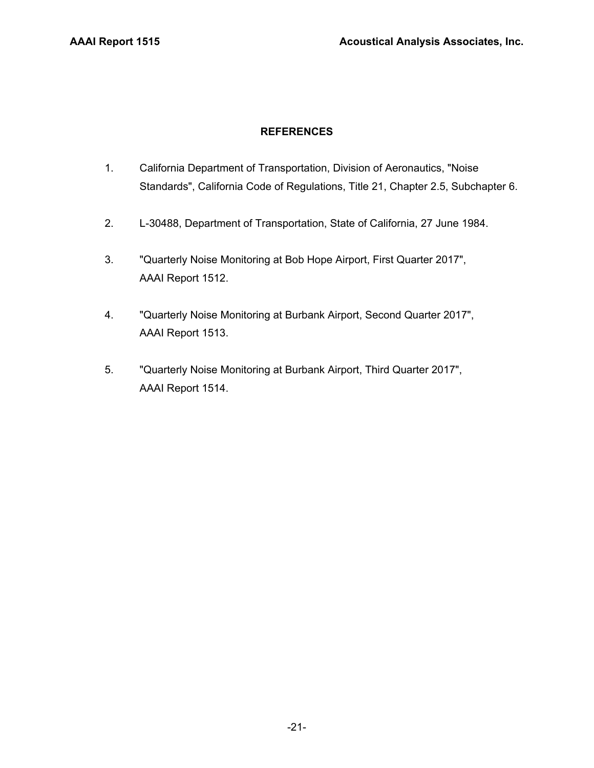## **REFERENCES**

- 1. California Department of Transportation, Division of Aeronautics, "Noise Standards", California Code of Regulations, Title 21, Chapter 2.5, Subchapter 6.
- 2. L-30488, Department of Transportation, State of California, 27 June 1984.
- 3. "Quarterly Noise Monitoring at Bob Hope Airport, First Quarter 2017", AAAI Report 1512.
- 4. "Quarterly Noise Monitoring at Burbank Airport, Second Quarter 2017", AAAI Report 1513.
- 5. "Quarterly Noise Monitoring at Burbank Airport, Third Quarter 2017", AAAI Report 1514.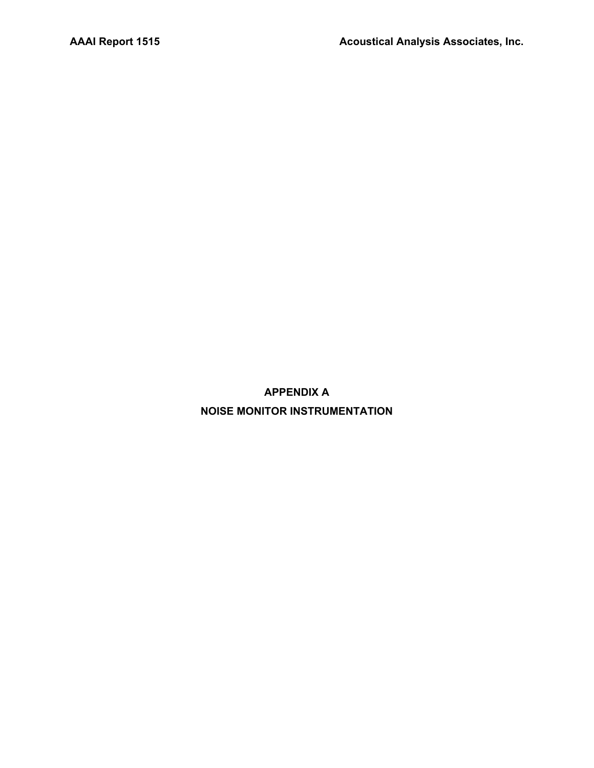**APPENDIX A NOISE MONITOR INSTRUMENTATION**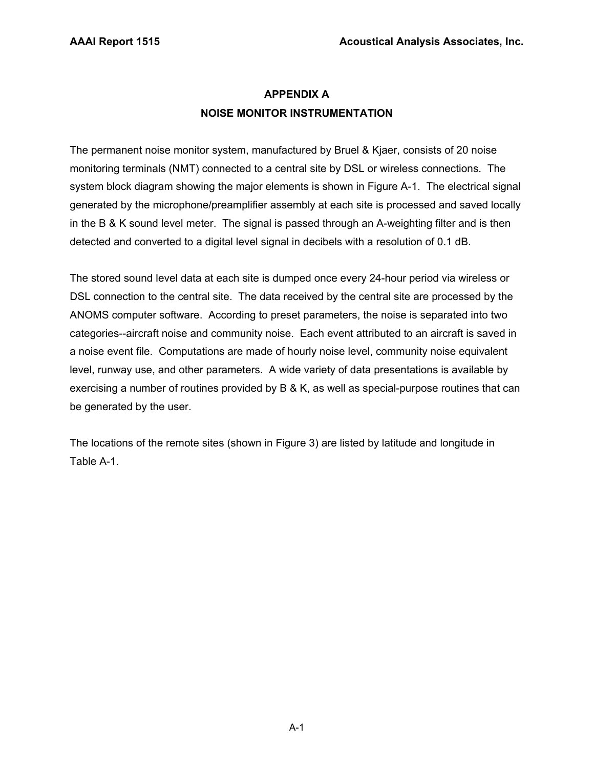## **APPENDIX A NOISE MONITOR INSTRUMENTATION**

The permanent noise monitor system, manufactured by Bruel & Kjaer, consists of 20 noise monitoring terminals (NMT) connected to a central site by DSL or wireless connections. The system block diagram showing the major elements is shown in Figure A-1. The electrical signal generated by the microphone/preamplifier assembly at each site is processed and saved locally in the B & K sound level meter. The signal is passed through an A-weighting filter and is then detected and converted to a digital level signal in decibels with a resolution of 0.1 dB.

The stored sound level data at each site is dumped once every 24-hour period via wireless or DSL connection to the central site. The data received by the central site are processed by the ANOMS computer software. According to preset parameters, the noise is separated into two categories--aircraft noise and community noise. Each event attributed to an aircraft is saved in a noise event file. Computations are made of hourly noise level, community noise equivalent level, runway use, and other parameters. A wide variety of data presentations is available by exercising a number of routines provided by B & K, as well as special-purpose routines that can be generated by the user.

The locations of the remote sites (shown in Figure 3) are listed by latitude and longitude in Table A-1.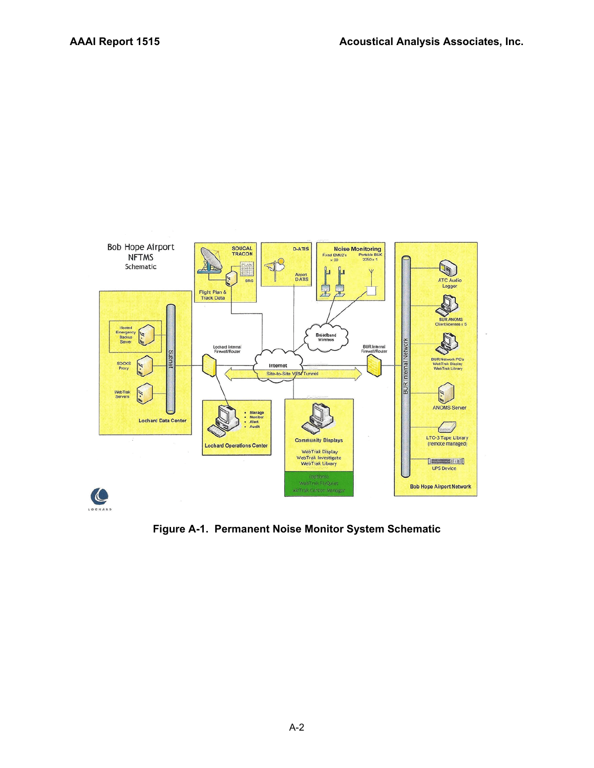

**Figure A-1. Permanent Noise Monitor System Schematic**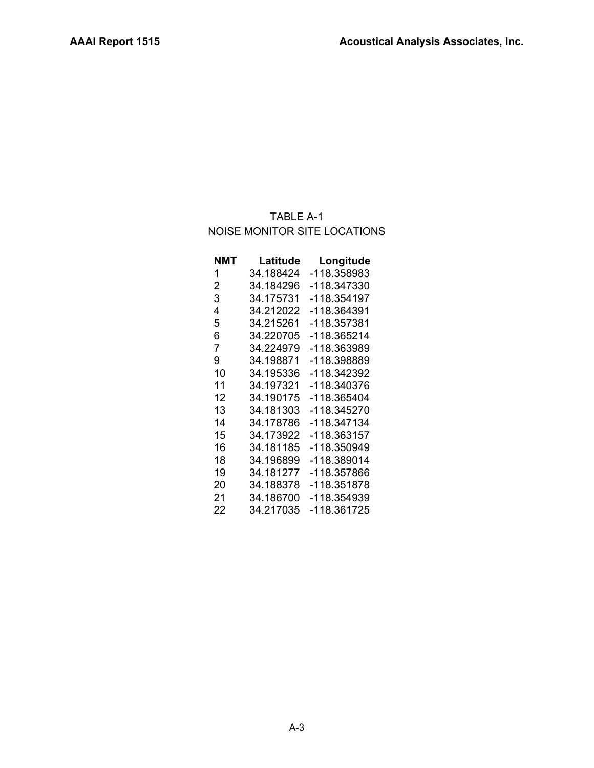## TABLE A-1 NOISE MONITOR SITE LOCATIONS

| NMT            | Latitude  | Longitude   |
|----------------|-----------|-------------|
| 1              | 34.188424 | -118.358983 |
| $\overline{2}$ | 34.184296 | -118.347330 |
| 3              | 34.175731 | -118.354197 |
| 4              | 34.212022 | -118.364391 |
| 5              | 34.215261 | -118.357381 |
| 6              | 34.220705 | -118.365214 |
| 7              | 34.224979 | -118.363989 |
| 9              | 34.198871 | -118.398889 |
| 10             | 34.195336 | -118.342392 |
| 11             | 34.197321 | -118.340376 |
| 12             | 34.190175 | -118.365404 |
| 13             | 34.181303 | -118.345270 |
| 14             | 34.178786 | -118.347134 |
| 15             | 34.173922 | -118.363157 |
| 16             | 34.181185 | -118.350949 |
| 18             | 34.196899 | -118.389014 |
| 19             | 34.181277 | -118.357866 |
| 20             | 34.188378 | -118.351878 |
| 21             | 34.186700 | -118.354939 |
| 22             | 34.217035 | -118.361725 |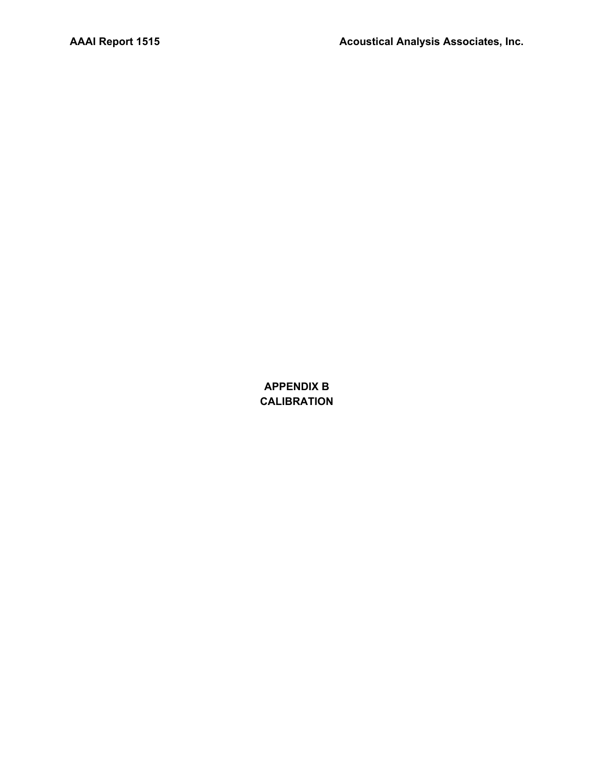**APPENDIX B CALIBRATION**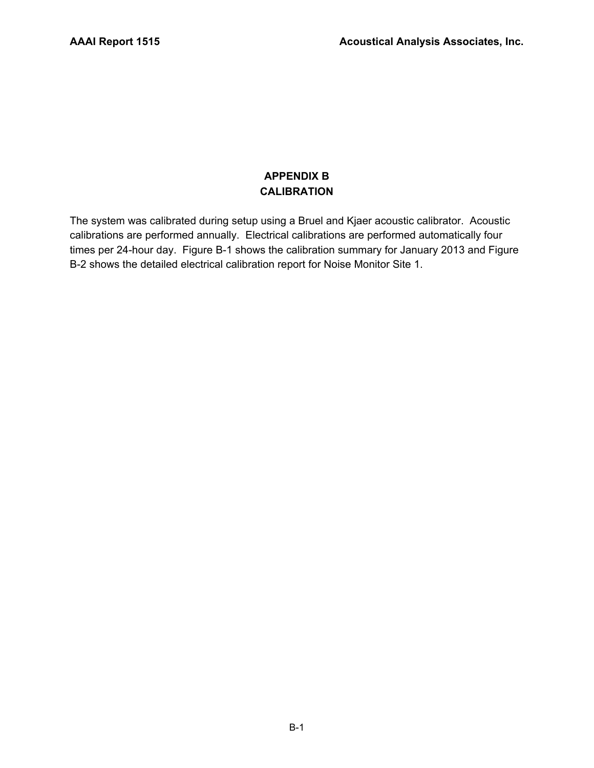## **APPENDIX B CALIBRATION**

The system was calibrated during setup using a Bruel and Kjaer acoustic calibrator. Acoustic calibrations are performed annually. Electrical calibrations are performed automatically four times per 24-hour day. Figure B-1 shows the calibration summary for January 2013 and Figure B-2 shows the detailed electrical calibration report for Noise Monitor Site 1.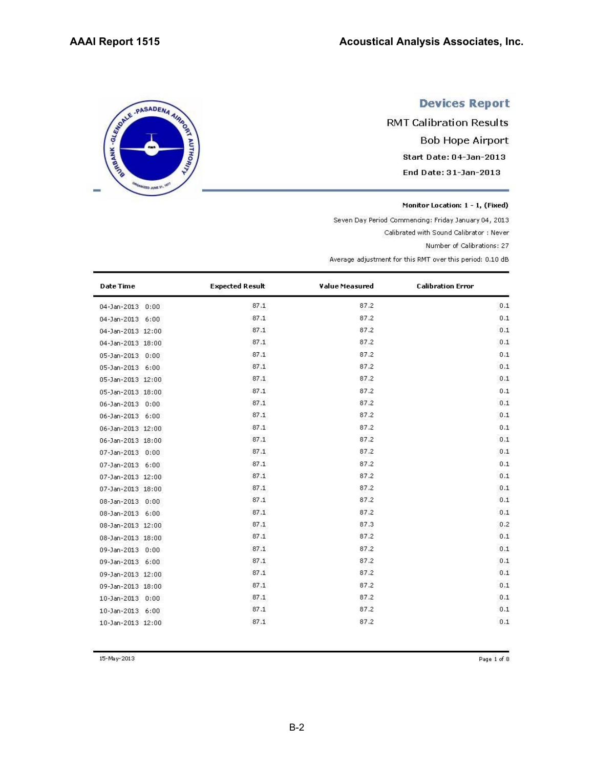# SERIE - PASADENA AIRING TO JUNE 21

## **Devices Report**

**RMT Calibration Results Bob Hope Airport** Start Date: 04-Jan-2013 End Date: 31-Jan-2013

Monitor Location: 1 - 1, (Fixed)

Seven Day Period Commencing: Friday January 04, 2013

Calibrated with Sound Calibrator : Never

Number of Calibrations: 27

Average adjustment for this RMT over this period: 0.10 dB

| <b>Date Time</b>  | <b>Expected Result</b> | Value Measured | <b>Calibration Error</b> |
|-------------------|------------------------|----------------|--------------------------|
| 04-Jan-2013 0:00  | 87.1                   | 87.2           | 0.1                      |
| 04-Jan-2013 6:00  | 87.1                   | 87.2           | 0.1                      |
| 04-Jan-2013 12:00 | 87.1                   | 87.2           | 0.1                      |
| 04-Jan-2013 18:00 | 87.1                   | 87.2           | 0.1                      |
| 05-Jan-2013 0:00  | 87.1                   | 87.2           | 0.1                      |
| 05-Jan-2013 6:00  | 87.1                   | 87.2           | 0.1                      |
| 05-Jan-2013 12:00 | 87.1                   | 87.2           | 0.1                      |
| 05-Jan-2013 18:00 | 87.1                   | 87.2           | 0.1                      |
| 06-Jan-2013 0:00  | 87.1                   | 87.2           | 0.1                      |
| 06-Jan-2013 6:00  | 87.1                   | 87.2           | 0.1                      |
| 06-Jan-2013 12:00 | 87.1                   | 87.2           | 0.1                      |
| 06-Jan-2013 18:00 | 87.1                   | 87.2           | 0.1                      |
| 07-Jan-2013 0:00  | 87.1                   | 87.2           | 0.1                      |
| 07-Jan-2013 6:00  | 87.1                   | 87.2           | 0.1                      |
| 07-Jan-2013 12:00 | 87.1                   | 87.2           | 0.1                      |
| 07-Jan-2013 18:00 | 87.1                   | 87.2           | 0.1                      |
| 08-Jan-2013 0:00  | 87.1                   | 87.2           | 0.1                      |
| 08-Jan-2013 6:00  | 87.1                   | 87.2           | 0.1                      |
| 08-Jan-2013 12:00 | 87.1                   | 87.3           | 0.2                      |
| 08-Jan-2013 18:00 | 87.1                   | 87.2           | 0.1                      |
| 09-Jan-2013 0:00  | 87.1                   | 87.2           | 0.1                      |
| 09-Jan-2013 6:00  | 87.1                   | 87.2           | 0.1                      |
| 09-Jan-2013 12:00 | 87.1                   | 87.2           | 0.1                      |
| 09-Jan-2013 18:00 | 87.1                   | 87.2           | 0.1                      |
| 10-Jan-2013 0:00  | 87.1                   | 87.2           | 0.1                      |
| 10-Jan-2013 6:00  | 87.1                   | 87.2           | 0.1                      |
| 10-Jan-2013 12:00 | 87.1                   | 87.2           | 0.1                      |

15-May-2013

Page 1 of 8